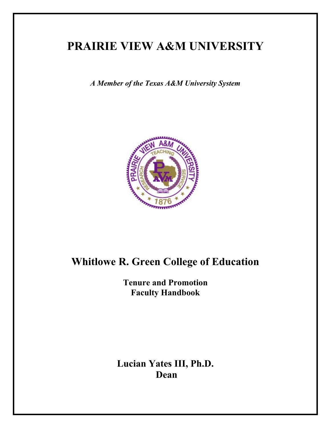# **PRAIRIE VIEW A&M UNIVERSITY**

*A Member of the Texas A&M University System* 



# **Whitlowe R. Green College of Education**

**Tenure and Promotion Faculty Handbook** 

**Lucian Yates III, Ph.D. Dean**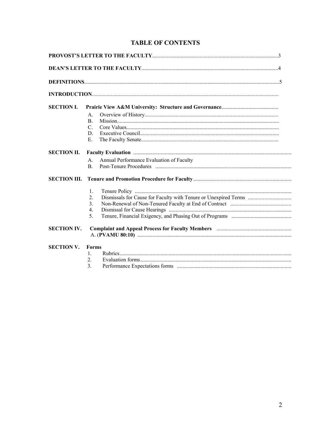## **TABLE OF CONTENTS**

| <b>SECTION I.</b>  |                  |                                                                                                                                                                                                                                |  |
|--------------------|------------------|--------------------------------------------------------------------------------------------------------------------------------------------------------------------------------------------------------------------------------|--|
|                    | $A_{-}$          |                                                                                                                                                                                                                                |  |
|                    | B <sub>1</sub>   |                                                                                                                                                                                                                                |  |
|                    | $\mathcal{C}$ .  |                                                                                                                                                                                                                                |  |
|                    | D.               |                                                                                                                                                                                                                                |  |
|                    | Ε.               |                                                                                                                                                                                                                                |  |
| <b>SECTION II.</b> |                  | Faculty Evaluation manufactured and contract the contract of the contract of the contract of the contract of the contract of the contract of the contract of the contract of the contract of the contract of the contract of t |  |
|                    | $A_{-}$          | Annual Performance Evaluation of Faculty                                                                                                                                                                                       |  |
|                    | $\mathbf{B}$     |                                                                                                                                                                                                                                |  |
|                    |                  |                                                                                                                                                                                                                                |  |
|                    | $1_{-}$          |                                                                                                                                                                                                                                |  |
|                    | 2.               |                                                                                                                                                                                                                                |  |
|                    | 3 <sub>1</sub>   |                                                                                                                                                                                                                                |  |
|                    | $\overline{4}$ . |                                                                                                                                                                                                                                |  |
|                    | 5 <sub>1</sub>   |                                                                                                                                                                                                                                |  |
| <b>SECTION IV.</b> |                  |                                                                                                                                                                                                                                |  |
|                    |                  |                                                                                                                                                                                                                                |  |
| <b>SECTION V.</b>  | Forms            |                                                                                                                                                                                                                                |  |
|                    | $\mathbf{1}$ .   |                                                                                                                                                                                                                                |  |
|                    | $\mathfrak{2}$ . |                                                                                                                                                                                                                                |  |
|                    | 3 <sub>1</sub>   |                                                                                                                                                                                                                                |  |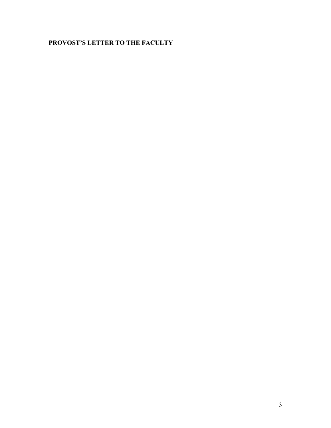## **PROVOST'S LETTER TO THE FACULTY**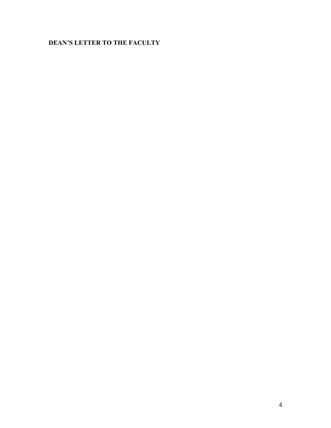## **DEAN'S LETTER TO THE FACULTY**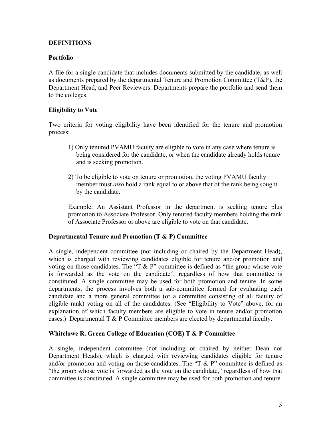## **DEFINITIONS**

## **Portfolio**

A file for a single candidate that includes documents submitted by the candidate, as well as documents prepared by the departmental Tenure and Promotion Committee (T&P), the Department Head, and Peer Reviewers. Departments prepare the portfolio and send them to the colleges.

## **Eligibility to Vote**

Two criteria for voting eligibility have been identified for the tenure and promotion process:

- 1) Only tenured PVAMU faculty are eligible to vote in any case where tenure is being considered for the candidate, or when the candidate already holds tenure and is seeking promotion.
- 2) To be eligible to vote on tenure or promotion, the voting PVAMU faculty member must *also* hold a rank equal to or above that of the rank being sought by the candidate.

Example: An Assistant Professor in the department is seeking tenure plus promotion to Associate Professor. Only tenured faculty members holding the rank of Associate Professor or above are eligible to vote on that candidate.

## **Departmental Tenure and Promotion (T & P) Committee**

A single, independent committee (not including or chaired by the Department Head), which is charged with reviewing candidates eligible for tenure and/or promotion and voting on those candidates. The "T  $\&$  P" committee is defined as "the group whose vote is forwarded as the vote on the candidate", regardless of how that committee is constituted. A single committee may be used for both promotion and tenure. In some departments, the process involves both a sub-committee formed for evaluating each candidate and a more general committee (or a committee consisting of all faculty of eligible rank) voting on all of the candidates. (See "Eligibility to Vote" above, for an explanation of which faculty members are eligible to vote in tenure and/or promotion cases.) Departmental  $T \& P$  Committee members are elected by departmental faculty.

## **Whitelowe R. Green College of Education (COE) T & P Committee**

A single, independent committee (not including or chaired by neither Dean nor Department Heads), which is charged with reviewing candidates eligible for tenure and/or promotion and voting on those candidates. The "T  $\&$  P" committee is defined as "the group whose vote is forwarded as the vote on the candidate," regardless of how that committee is constituted. A single committee may be used for both promotion and tenure.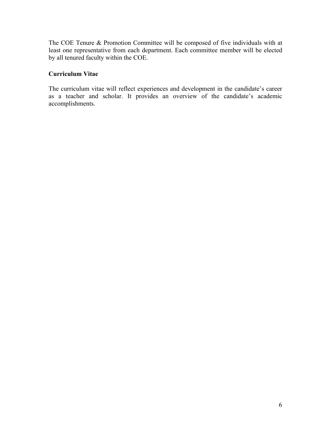The COE Tenure & Promotion Committee will be composed of five individuals with at least one representative from each department. Each committee member will be elected by all tenured faculty within the COE.

## **Curriculum Vitae**

The curriculum vitae will reflect experiences and development in the candidate's career as a teacher and scholar. It provides an overview of the candidate's academic accomplishments.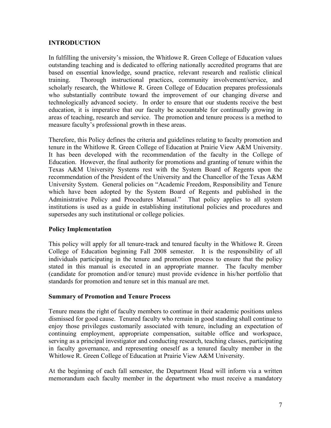## **INTRODUCTION**

In fulfilling the university's mission, the Whitlowe R. Green College of Education values outstanding teaching and is dedicated to offering nationally accredited programs that are based on essential knowledge, sound practice, relevant research and realistic clinical training. Thorough instructional practices, community involvement/service, and scholarly research, the Whitlowe R. Green College of Education prepares professionals who substantially contribute toward the improvement of our changing diverse and technologically advanced society. In order to ensure that our students receive the best education, it is imperative that our faculty be accountable for continually growing in areas of teaching, research and service. The promotion and tenure process is a method to measure faculty's professional growth in these areas.

Therefore, this Policy defines the criteria and guidelines relating to faculty promotion and tenure in the Whitlowe R. Green College of Education at Prairie View A&M University. It has been developed with the recommendation of the faculty in the College of Education. However, the final authority for promotions and granting of tenure within the Texas A&M University Systems rest with the System Board of Regents upon the recommendation of the President of the University and the Chancellor of the Texas A&M University System. General policies on "Academic Freedom, Responsibility and Tenure which have been adopted by the System Board of Regents and published in the Administrative Policy and Procedures Manual." That policy applies to all system institutions is used as a guide in establishing institutional policies and procedures and supersedes any such institutional or college policies.

## **Policy Implementation**

This policy will apply for all tenure-track and tenured faculty in the Whitlowe R. Green College of Education beginning Fall 2008 semester. It is the responsibility of all individuals participating in the tenure and promotion process to ensure that the policy stated in this manual is executed in an appropriate manner. The faculty member (candidate for promotion and/or tenure) must provide evidence in his/her portfolio that standards for promotion and tenure set in this manual are met.

## **Summary of Promotion and Tenure Process**

Tenure means the right of faculty members to continue in their academic positions unless dismissed for good cause. Tenured faculty who remain in good standing shall continue to enjoy those privileges customarily associated with tenure, including an expectation of continuing employment, appropriate compensation, suitable office and workspace, serving as a principal investigator and conducting research, teaching classes, participating in faculty governance, and representing oneself as a tenured faculty member in the Whitlowe R. Green College of Education at Prairie View A&M University.

At the beginning of each fall semester, the Department Head will inform via a written memorandum each faculty member in the department who must receive a mandatory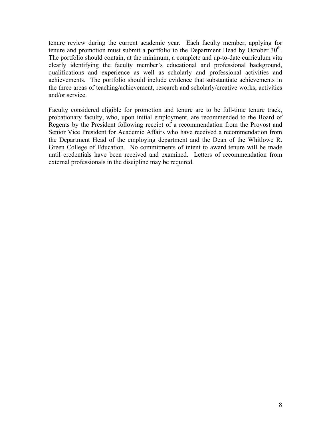tenure review during the current academic year. Each faculty member, applying for tenure and promotion must submit a portfolio to the Department Head by October  $30<sup>th</sup>$ . The portfolio should contain, at the minimum, a complete and up-to-date curriculum vita clearly identifying the faculty member's educational and professional background, qualifications and experience as well as scholarly and professional activities and achievements. The portfolio should include evidence that substantiate achievements in the three areas of teaching/achievement, research and scholarly/creative works, activities and/or service.

Faculty considered eligible for promotion and tenure are to be full-time tenure track, probationary faculty, who, upon initial employment, are recommended to the Board of Regents by the President following receipt of a recommendation from the Provost and Senior Vice President for Academic Affairs who have received a recommendation from the Department Head of the employing department and the Dean of the Whitlowe R. Green College of Education. No commitments of intent to award tenure will be made until credentials have been received and examined. Letters of recommendation from external professionals in the discipline may be required.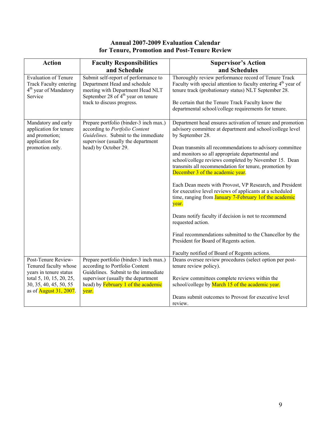## **Annual 2007-2009 Evaluation Calendar for Tenure, Promotion and Post-Tenure Review**

| <b>Action</b>                                                                      | <b>Faculty Responsibilities</b><br>and Schedule                                                                                                       | <b>Supervisor's Action</b><br>and Schedules                                                                                                                                                                                                                        |
|------------------------------------------------------------------------------------|-------------------------------------------------------------------------------------------------------------------------------------------------------|--------------------------------------------------------------------------------------------------------------------------------------------------------------------------------------------------------------------------------------------------------------------|
| <b>Evaluation of Tenure</b>                                                        | Submit self-report of performance to                                                                                                                  | Thoroughly review performance record of Tenure Track                                                                                                                                                                                                               |
| Track Faculty entering<br>4 <sup>th</sup> year of Mandatory                        | Department Head and schedule<br>meeting with Department Head NLT                                                                                      | Faculty with special attention to faculty entering $4th$ year of<br>tenure track (probationary status) NLT September 28.                                                                                                                                           |
| Service                                                                            | September 28 of $4th$ year on tenure<br>track to discuss progress.                                                                                    |                                                                                                                                                                                                                                                                    |
|                                                                                    |                                                                                                                                                       | Be certain that the Tenure Track Faculty know the<br>departmental school/college requirements for tenure.                                                                                                                                                          |
| Mandatory and early<br>application for tenure<br>and promotion;<br>application for | Prepare portfolio (binder-3 inch max.)<br>according to Portfolio Content<br>Guidelines. Submit to the immediate<br>supervisor (usually the department | Department head ensures activation of tenure and promotion<br>advisory committee at department and school/college level<br>by September 28.                                                                                                                        |
| promotion only.                                                                    | head) by October 29.                                                                                                                                  | Dean transmits all recommendations to advisory committee<br>and monitors so all appropriate departmental and<br>school/college reviews completed by November 15. Dean<br>transmits all recommendation for tenure, promotion by<br>December 3 of the academic year. |
|                                                                                    |                                                                                                                                                       | Each Dean meets with Provost, VP Research, and President<br>for executive level reviews of applicants at a scheduled<br>time, ranging from <b>January 7-February 1of the academic</b><br>year.                                                                     |
|                                                                                    |                                                                                                                                                       | Deans notify faculty if decision is not to recommend<br>requested action.                                                                                                                                                                                          |
|                                                                                    |                                                                                                                                                       | Final recommendations submitted to the Chancellor by the<br>President for Board of Regents action.                                                                                                                                                                 |
|                                                                                    |                                                                                                                                                       | Faculty notified of Board of Regents actions.                                                                                                                                                                                                                      |
| Post-Tenure Review-<br>Tenured faculty whose<br>years in tenure status             | Prepare portfolio (binder-3 inch max.)<br>according to Portfolio Content<br>Guidelines. Submit to the immediate                                       | Deans oversee review procedures (select option per post-<br>tenure review policy).                                                                                                                                                                                 |
| total 5, 10, 15, 20, 25,<br>30, 35, 40, 45, 50, 55                                 | supervisor (usually the department<br>head) by <b>February</b> 1 of the academic                                                                      | Review committees complete reviews within the<br>school/college by March 15 of the academic year.                                                                                                                                                                  |
| as of <b>August 31, 2007</b> .                                                     | year.                                                                                                                                                 | Deans submit outcomes to Provost for executive level<br>review.                                                                                                                                                                                                    |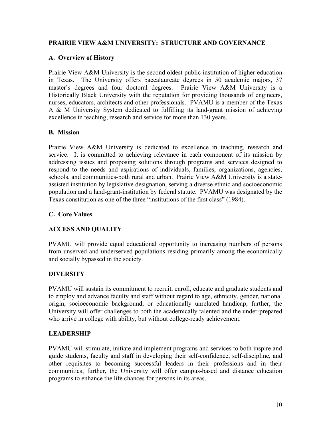## **PRAIRIE VIEW A&M UNIVERSITY: STRUCTURE AND GOVERNANCE**

## **A. Overview of History**

Prairie View A&M University is the second oldest public institution of higher education in Texas. The University offers baccalaureate degrees in 50 academic majors, 37 master's degrees and four doctoral degrees. Prairie View A&M University is a Historically Black University with the reputation for providing thousands of engineers, nurses, educators, architects and other professionals. PVAMU is a member of the Texas A & M University System dedicated to fulfilling its land-grant mission of achieving excellence in teaching, research and service for more than 130 years.

## **B. Mission**

Prairie View A&M University is dedicated to excellence in teaching, research and service. It is committed to achieving relevance in each component of its mission by addressing issues and proposing solutions through programs and services designed to respond to the needs and aspirations of individuals, families, organizations, agencies, schools, and communities-both rural and urban. Prairie View A&M University is a stateassisted institution by legislative designation, serving a diverse ethnic and socioeconomic population and a land-grant-institution by federal statute. PVAMU was designated by the Texas constitution as one of the three "institutions of the first class" (1984).

## **C. Core Values**

## **ACCESS AND QUALITY**

PVAMU will provide equal educational opportunity to increasing numbers of persons from unserved and underserved populations residing primarily among the economically and socially bypassed in the society.

## **DIVERSITY**

PVAMU will sustain its commitment to recruit, enroll, educate and graduate students and to employ and advance faculty and staff without regard to age, ethnicity, gender, national origin, socioeconomic background, or educationally unrelated handicap; further, the University will offer challenges to both the academically talented and the under-prepared who arrive in college with ability, but without college-ready achievement.

## **LEADERSHIP**

PVAMU will stimulate, initiate and implement programs and services to both inspire and guide students, faculty and staff in developing their self-confidence, self-discipline, and other requisites to becoming successful leaders in their professions and in their communities; further, the University will offer campus-based and distance education programs to enhance the life chances for persons in its areas.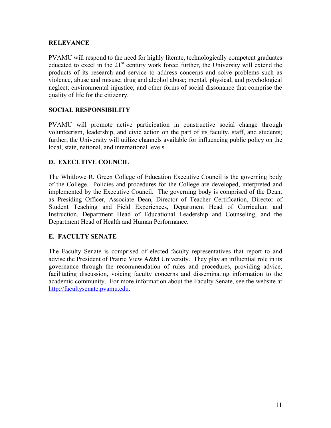## **RELEVANCE**

PVAMU will respond to the need for highly literate, technologically competent graduates educated to excel in the  $21<sup>st</sup>$  century work force; further, the University will extend the products of its research and service to address concerns and solve problems such as violence, abuse and misuse; drug and alcohol abuse; mental, physical, and psychological neglect; environmental injustice; and other forms of social dissonance that comprise the quality of life for the citizenry.

### **SOCIAL RESPONSIBILITY**

PVAMU will promote active participation in constructive social change through volunteerism, leadership, and civic action on the part of its faculty, staff, and students; further, the University will utilize channels available for influencing public policy on the local, state, national, and international levels.

#### **D. EXECUTIVE COUNCIL**

The Whitlowe R. Green College of Education Executive Council is the governing body of the College. Policies and procedures for the College are developed, interpreted and implemented by the Executive Council. The governing body is comprised of the Dean, as Presiding Officer, Associate Dean, Director of Teacher Certification, Director of Student Teaching and Field Experiences, Department Head of Curriculum and Instruction, Department Head of Educational Leadership and Counseling, and the Department Head of Health and Human Performance.

#### **E. FACULTY SENATE**

The Faculty Senate is comprised of elected faculty representatives that report to and advise the President of Prairie View A&M University. They play an influential role in its governance through the recommendation of rules and procedures, providing advice, facilitating discussion, voicing faculty concerns and disseminating information to the academic community. For more information about the Faculty Senate, see the website at [http://facultysenate.pvamu.edu.](http://facultysenate.pvamu.edu/)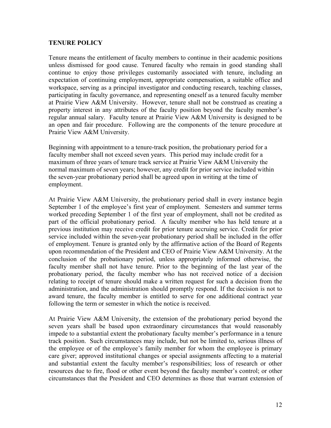#### **TENURE POLICY**

Tenure means the entitlement of faculty members to continue in their academic positions unless dismissed for good cause. Tenured faculty who remain in good standing shall continue to enjoy those privileges customarily associated with tenure, including an expectation of continuing employment, appropriate compensation, a suitable office and workspace, serving as a principal investigator and conducting research, teaching classes, participating in faculty governance, and representing oneself as a tenured faculty member at Prairie View A&M University. However, tenure shall not be construed as creating a property interest in any attributes of the faculty position beyond the faculty member's regular annual salary. Faculty tenure at Prairie View A&M University is designed to be an open and fair procedure. Following are the components of the tenure procedure at Prairie View A&M University.

Beginning with appointment to a tenure-track position, the probationary period for a faculty member shall not exceed seven years. This period may include credit for a maximum of three years of tenure track service at Prairie View A&M University the normal maximum of seven years; however, any credit for prior service included within the seven-year probationary period shall be agreed upon in writing at the time of employment.

At Prairie View A&M University, the probationary period shall in every instance begin September 1 of the employee's first year of employment. Semesters and summer terms worked preceding September 1 of the first year of employment, shall not be credited as part of the official probationary period. A faculty member who has held tenure at a previous institution may receive credit for prior tenure accruing service. Credit for prior service included within the seven-year probationary period shall be included in the offer of employment. Tenure is granted only by the affirmative action of the Board of Regents upon recommendation of the President and CEO of Prairie View A&M University. At the conclusion of the probationary period, unless appropriately informed otherwise, the faculty member shall not have tenure. Prior to the beginning of the last year of the probationary period, the faculty member who has not received notice of a decision relating to receipt of tenure should make a written request for such a decision from the administration, and the administration should promptly respond. If the decision is not to award tenure, the faculty member is entitled to serve for one additional contract year following the term or semester in which the notice is received.

At Prairie View A&M University, the extension of the probationary period beyond the seven years shall be based upon extraordinary circumstances that would reasonably impede to a substantial extent the probationary faculty member's performance in a tenure track position. Such circumstances may include, but not be limited to, serious illness of the employee or of the employee's family member for whom the employee is primary care giver; approved institutional changes or special assignments affecting to a material and substantial extent the faculty member's responsibilities; loss of research or other resources due to fire, flood or other event beyond the faculty member's control; or other circumstances that the President and CEO determines as those that warrant extension of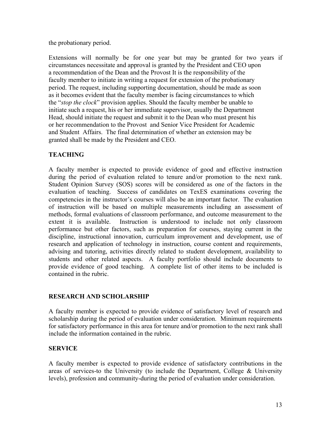the probationary period.

Extensions will normally be for one year but may be granted for two years if circumstances necessitate and approval is granted by the President and CEO upon a recommendation of the Dean and the Provost It is the responsibility of the faculty member to initiate in writing a request for extension of the probationary period. The request, including supporting documentation, should be made as soon as it becomes evident that the faculty member is facing circumstances to which the "*stop the clock*" provision applies. Should the faculty member be unable to initiate such a request, his or her immediate supervisor, usually the Department Head, should initiate the request and submit it to the Dean who must present his or her recommendation to the Provost and Senior Vice President for Academic and Student Affairs. The final determination of whether an extension may be granted shall be made by the President and CEO.

## **TEACHING**

A faculty member is expected to provide evidence of good and effective instruction during the period of evaluation related to tenure and/or promotion to the next rank. Student Opinion Survey (SOS) scores will be considered as one of the factors in the evaluation of teaching. Success of candidates on TexES examinations covering the competencies in the instructor's courses will also be an important factor. The evaluation of instruction will be based on multiple measurements including an assessment of methods, formal evaluations of classroom performance, and outcome measurement to the extent it is available. Instruction is understood to include not only classroom performance but other factors, such as preparation for courses, staying current in the discipline, instructional innovation, curriculum improvement and development, use of research and application of technology in instruction, course content and requirements, advising and tutoring, activities directly related to student development, availability to students and other related aspects. A faculty portfolio should include documents to provide evidence of good teaching. A complete list of other items to be included is contained in the rubric.

## **RESEARCH AND SCHOLARSHIP**

A faculty member is expected to provide evidence of satisfactory level of research and scholarship during the period of evaluation under consideration. Minimum requirements for satisfactory performance in this area for tenure and/or promotion to the next rank shall include the information contained in the rubric.

## **SERVICE**

A faculty member is expected to provide evidence of satisfactory contributions in the areas of services-to the University (to include the Department, College & University levels), profession and community-during the period of evaluation under consideration.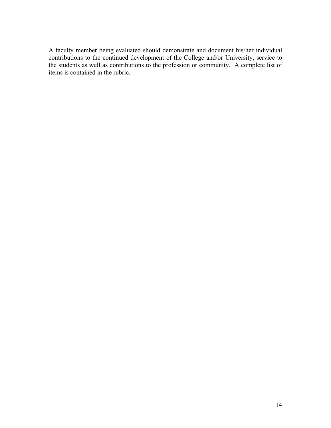A faculty member being evaluated should demonstrate and document his/her individual contributions to the continued development of the College and/or University, service to the students as well as contributions to the profession or community. A complete list of items is contained in the rubric.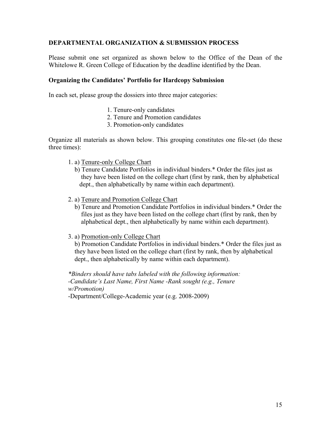## **DEPARTMENTAL ORGANIZATION & SUBMISSION PROCESS**

Please submit one set organized as shown below to the Office of the Dean of the Whitelowe R. Green College of Education by the deadline identified by the Dean.

#### **Organizing the Candidates' Portfolio for Hardcopy Submission**

In each set, please group the dossiers into three major categories:

- 1. Tenure-only candidates
- 2. Tenure and Promotion candidates
- 3. Promotion-only candidates

Organize all materials as shown below. This grouping constitutes one file-set (do these three times):

- 1. a) Tenure-only College Chart
	- b) Tenure Candidate Portfolios in individual binders.\* Order the files just as they have been listed on the college chart (first by rank, then by alphabetical dept., then alphabetically by name within each department).
- 2. a) Tenure and Promotion College Chart
	- b) Tenure and Promotion Candidate Portfolios in individual binders.\* Order the files just as they have been listed on the college chart (first by rank, then by alphabetical dept., then alphabetically by name within each department).
- 3. a) Promotion-only College Chart

 b) Promotion Candidate Portfolios in individual binders.\* Order the files just as they have been listed on the college chart (first by rank, then by alphabetical dept., then alphabetically by name within each department).

*\*Binders should have tabs labeled with the following information: -Candidate's Last Name, First Name -Rank sought (e.g., Tenure w/Promotion)* 

-Department/College-Academic year (e.g. 2008-2009)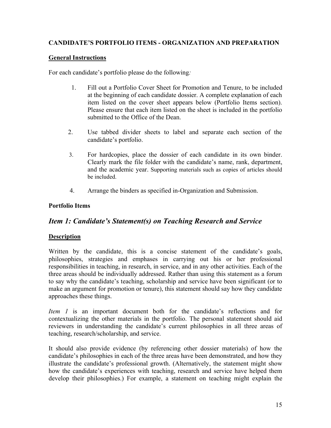## **CANDIDATE'S PORTFOLIO ITEMS - ORGANIZATION AND PREPARATION**

## **General Instructions**

For each candidate's portfolio please do the following*:* 

- 1. Fill out a Portfolio Cover Sheet for Promotion and Tenure, to be included at the beginning of each candidate dossier. A complete explanation of each item listed on the cover sheet appears below (Portfolio Items section). Please ensure that each item listed on the sheet is included in the portfolio submitted to the Office of the Dean.
- 2. Use tabbed divider sheets to label and separate each section of the candidate's portfolio.
- 3. For hardcopies, place the dossier of each candidate in its own binder. Clearly mark the file folder with the candidate's name, rank, department, and the academic year. Supporting materials such as copies of articles should be included.
- 4. Arrange the binders as specified in-Organization and Submission.

## **Portfolio Items**

## *Item 1: Candidate's Statement(s) on Teaching Research and Service*

## **Description**

Written by the candidate, this is a concise statement of the candidate's goals, philosophies, strategies and emphases in carrying out his or her professional responsibilities in teaching, in research, in service, and in any other activities. Each of the three areas should be individually addressed. Rather than using this statement as a forum to say why the candidate's teaching, scholarship and service have been significant (or to make an argument for promotion or tenure), this statement should say how they candidate approaches these things.

*Item 1* is an important document both for the candidate's reflections and for contextualizing the other materials in the portfolio. The personal statement should aid reviewers in understanding the candidate's current philosophies in all three areas of teaching, research/scholarship, and service.

It should also provide evidence (by referencing other dossier materials) of how the candidate's philosophies in each of the three areas have been demonstrated, and how they illustrate the candidate's professional growth. (Alternatively, the statement might show how the candidate's experiences with teaching, research and service have helped them develop their philosophies.) For example, a statement on teaching might explain the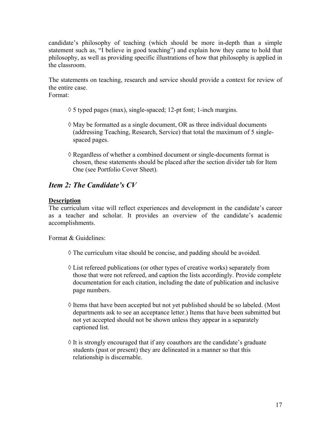candidate's philosophy of teaching (which should be more in-depth than a simple statement such as, "I believe in good teaching") and explain how they came to hold that philosophy, as well as providing specific illustrations of how that philosophy is applied in the classroom.

The statements on teaching, research and service should provide a context for review of the entire case.

Format:

- $\Diamond$  5 typed pages (max), single-spaced; 12-pt font; 1-inch margins.
- $\Diamond$  May be formatted as a single document, OR as three individual documents (addressing Teaching, Research, Service) that total the maximum of 5 single spaced pages.
- $\Diamond$  Regardless of whether a combined document or single-documents format is chosen, these statements should be placed after the section divider tab for Item One (see Portfolio Cover Sheet).

## *Item 2: The Candidate's CV*

## **Description**

The curriculum vitae will reflect experiences and development in the candidate's career as a teacher and scholar. It provides an overview of the candidate's academic accomplishments.

Format & Guidelines:

- $\Diamond$  The curriculum vitae should be concise, and padding should be avoided.
- $\Diamond$  List refereed publications (or other types of creative works) separately from those that were not refereed, and caption the lists accordingly. Provide complete documentation for each citation, including the date of publication and inclusive page numbers.
- $\Diamond$  Items that have been accepted but not yet published should be so labeled. (Most departments ask to see an acceptance letter.) Items that have been submitted but not yet accepted should not be shown unless they appear in a separately captioned list.
- $\Diamond$  It is strongly encouraged that if any coauthors are the candidate's graduate students (past or present) they are delineated in a manner so that this relationship is discernable.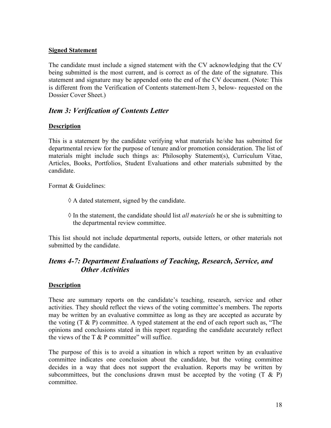## **Signed Statement**

The candidate must include a signed statement with the CV acknowledging that the CV being submitted is the most current, and is correct as of the date of the signature. This statement and signature may be appended onto the end of the CV document. (Note: This is different from the Verification of Contents statement-Item 3, below- requested on the Dossier Cover Sheet.)

## *Item 3: Verification of Contents Letter*

## **Description**

This is a statement by the candidate verifying what materials he/she has submitted for departmental review for the purpose of tenure and/or promotion consideration. The list of materials might include such things as: Philosophy Statement(s), Curriculum Vitae, Articles, Books, Portfolios, Student Evaluations and other materials submitted by the candidate.

Format & Guidelines:

- $\Diamond$  A dated statement, signed by the candidate.
- ! In the statement, the candidate should list *all materials* he or she is submitting to the departmental review committee.

This list should not include departmental reports, outside letters, or other materials not submitted by the candidate.

## *Items 4-7: Department Evaluations of Teaching, Research, Service, and Other Activities*

## **Description**

These are summary reports on the candidate's teaching, research, service and other activities. They should reflect the views of the voting committee's members. The reports may be written by an evaluative committee as long as they are accepted as accurate by the voting  $(T \& P)$  committee. A typed statement at the end of each report such as, "The opinions and conclusions stated in this report regarding the candidate accurately reflect the views of the  $T \& P$  committee" will suffice.

The purpose of this is to avoid a situation in which a report written by an evaluative committee indicates one conclusion about the candidate, but the voting committee decides in a way that does not support the evaluation. Reports may be written by subcommittees, but the conclusions drawn must be accepted by the voting  $(T \& P)$ committee.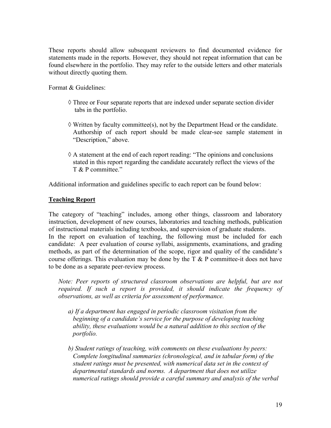These reports should allow subsequent reviewers to find documented evidence for statements made in the reports. However, they should not repeat information that can be found elsewhere in the portfolio. They may refer to the outside letters and other materials without directly quoting them.

Format & Guidelines:

- $\Diamond$  Three or Four separate reports that are indexed under separate section divider tabs in the portfolio.
- $\Diamond$  Written by faculty committee(s), not by the Department Head or the candidate. Authorship of each report should be made clear-see sample statement in "Description," above.
- $\Diamond$  A statement at the end of each report reading: "The opinions and conclusions stated in this report regarding the candidate accurately reflect the views of the T & P committee."

Additional information and guidelines specific to each report can be found below:

## **Teaching Report**

The category of "teaching" includes, among other things, classroom and laboratory instruction, development of new courses, laboratories and teaching methods, publication of instructional materials including textbooks, and supervision of graduate students. In the report on evaluation of teaching, the following must be included for each candidate: A peer evaluation of course syllabi, assignments, examinations, and grading methods, as part of the determination of the scope, rigor and quality of the candidate's course offerings. This evaluation may be done by the  $T \& P$  committee-it does not have to be done as a separate peer-review process.

*Note: Peer reports of structured classroom observations are helpful, but are not required. If such a report is provided, it should indicate the frequency of observations, as well as criteria for assessment of performance.* 

- *a) If a department has engaged in periodic classroom visitation from the beginning of a candidate's service for the purpose of developing teaching ability, these evaluations would be a natural addition to this section of the portfolio.*
- *b) Student ratings of teaching, with comments on these evaluations by peers: Complete longitudinal summaries (chronological, and in tabular form) of the student ratings must be presented, with numerical data set in the context of departmental standards and norms. A department that does not utilize numerical ratings should provide a careful summary and analysis of the verbal*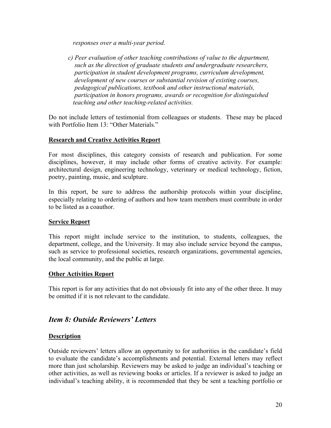*responses over a multi-year period.* 

*c) Peer evaluation of other teaching contributions of value to the department, such as the direction of graduate students and undergraduate researchers, participation in student development programs, curriculum development, development of new courses or substantial revision of existing courses, pedagogical publications, textbook and other instructional materials, participation in honors programs, awards or recognition for distinguished teaching and other teaching-related activities.* 

Do not include letters of testimonial from colleagues or students. These may be placed with Portfolio Item 13<sup>.</sup> "Other Materials."

## **Research and Creative Activities Report**

For most disciplines, this category consists of research and publication. For some disciplines, however, it may include other forms of creative activity. For example: architectural design, engineering technology, veterinary or medical technology, fiction, poetry, painting, music, and sculpture.

In this report, be sure to address the authorship protocols within your discipline, especially relating to ordering of authors and how team members must contribute in order to be listed as a coauthor.

## **Service Report**

This report might include service to the institution, to students, colleagues, the department, college, and the University. It may also include service beyond the campus, such as service to professional societies, research organizations, governmental agencies, the local community, and the public at large.

## **Other Activities Report**

This report is for any activities that do not obviously fit into any of the other three. It may be omitted if it is not relevant to the candidate.

## *Item 8: Outside Reviewers' Letters*

## **Description**

Outside reviewers' letters allow an opportunity to for authorities in the candidate's field to evaluate the candidate's accomplishments and potential. External letters may reflect more than just scholarship. Reviewers may be asked to judge an individual's teaching or other activities, as well as reviewing books or articles. If a reviewer is asked to judge an individual's teaching ability, it is recommended that they be sent a teaching portfolio or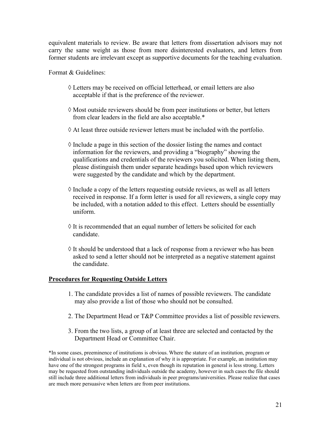equivalent materials to review. Be aware that letters from dissertation advisors may not carry the same weight as those from more disinterested evaluators, and letters from former students are irrelevant except as supportive documents for the teaching evaluation.

Format & Guidelines:

- ! Letters may be received on official letterhead, or email letters are also acceptable if that is the preference of the reviewer.
- $\Diamond$  Most outside reviewers should be from peer institutions or better, but letters from clear leaders in the field are also acceptable.\*
- $\Diamond$  At least three outside reviewer letters must be included with the portfolio.
- $\Diamond$  Include a page in this section of the dossier listing the names and contact information for the reviewers, and providing a "biography" showing the qualifications and credentials of the reviewers you solicited. When listing them, please distinguish them under separate headings based upon which reviewers were suggested by the candidate and which by the department.
- $\Diamond$  Include a copy of the letters requesting outside reviews, as well as all letters received in response. If a form letter is used for all reviewers, a single copy may be included, with a notation added to this effect. Letters should be essentially uniform.
- $\Diamond$  It is recommended that an equal number of letters be solicited for each candidate.
- $\Diamond$  It should be understood that a lack of response from a reviewer who has been asked to send a letter should not be interpreted as a negative statement against the candidate.

## **Procedures for Requesting Outside Letters**

- 1. The candidate provides a list of names of possible reviewers. The candidate may also provide a list of those who should not be consulted.
- 2. The Department Head or T&P Committee provides a list of possible reviewers.
- 3. From the two lists, a group of at least three are selected and contacted by the Department Head or Committee Chair.

\*In some cases, preeminence of institutions is obvious. Where the stature of an institution, program or individual is not obvious, include an explanation of why it is appropriate. For example, an institution may have one of the strongest programs in field x, even though its reputation in general is less strong. Letters may be requested from outstanding individuals outside the academy, however in such cases the file should still include three additional letters from individuals in peer programs/universities. Please realize that cases are much more persuasive when letters are from peer institutions.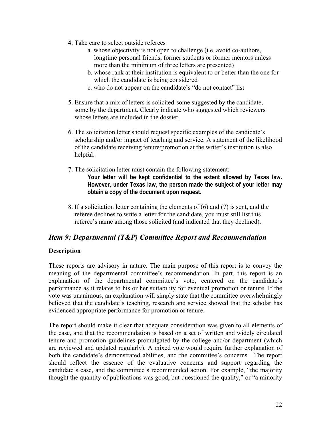- 4. Take care to select outside referees
	- a. whose objectivity is not open to challenge (i.e. avoid co-authors, longtime personal friends, former students or former mentors unless more than the minimum of three letters are presented)
	- b. whose rank at their institution is equivalent to or better than the one for which the candidate is being considered
	- c. who do not appear on the candidate's "do not contact" list
- 5. Ensure that a mix of letters is solicited-some suggested by the candidate, some by the department. Clearly indicate who suggested which reviewers whose letters are included in the dossier.
- 6. The solicitation letter should request specific examples of the candidate's scholarship and/or impact of teaching and service. A statement of the likelihood of the candidate receiving tenure/promotion at the writer's institution is also helpful.
- 7. The solicitation letter must contain the following statement: **Your letter will be kept confidential to the extent allowed by Texas law. However, under Texas law, the person made the subject of your letter may obtain a copy of the document upon request.**
- 8. If a solicitation letter containing the elements of (6) and (7) is sent, and the referee declines to write a letter for the candidate, you must still list this referee's name among those solicited (and indicated that they declined).

## *Item 9: Departmental (T&P) Committee Report and Recommendation*

## **Description**

These reports are advisory in nature. The main purpose of this report is to convey the meaning of the departmental committee's recommendation. In part, this report is an explanation of the departmental committee's vote, centered on the candidate's performance as it relates to his or her suitability for eventual promotion or tenure. If the vote was unanimous, an explanation will simply state that the committee overwhelmingly believed that the candidate's teaching, research and service showed that the scholar has evidenced appropriate performance for promotion or tenure.

The report should make it clear that adequate consideration was given to all elements of the case, and that the recommendation is based on a set of written and widely circulated tenure and promotion guidelines promulgated by the college and/or department (which are reviewed and updated regularly). A mixed vote would require further explanation of both the candidate's demonstrated abilities, and the committee's concerns. The report should reflect the essence of the evaluative concerns and support regarding the candidate's case, and the committee's recommended action. For example, "the majority thought the quantity of publications was good, but questioned the quality," or "a minority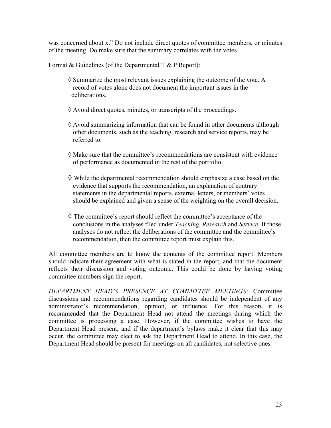was concerned about x." Do not include direct quotes of committee members, or minutes of the meeting. Do make sure that the summary correlates with the votes.

Format  $& Guidelines$  (of the Departmental T  $& P$  Report):

- $\Diamond$  Summarize the most relevant issues explaining the outcome of the vote. A record of votes alone does not document the important issues in the deliberations.
- $\Diamond$  Avoid direct quotes, minutes, or transcripts of the proceedings.
- $\Diamond$  Avoid summarizing information that can be found in other documents although other documents, such as the teaching, research and service reports, may be referred to.
- $\Diamond$  Make sure that the committee's recommendations are consistent with evidence of performance as documented in the rest of the portfolio.
- $\Diamond$  While the departmental recommendation should emphasize a case based on the evidence that supports the recommendation, an explanation of contrary statements in the departmental reports, external letters, or members' votes should be explained and given a sense of the weighting on the overall decision.
- $\Diamond$  The committee's report should reflect the committee's acceptance of the conclusions in the analyses filed under *Teaching*, *Research* and *Service*. If those analyses do not reflect the deliberations of the committee and the committee's recommendation, then the committee report must explain this.

All committee members are to know the contents of the committee report. Members should indicate their agreement with what is stated in the report, and that the document reflects their discussion and voting outcome. This could be done by having voting committee members sign the report.

*DEPARTMENT HEAD'S PRESENCE AT COMMITTEE MEETINGS:* Committee discussions and recommendations regarding candidates should be independent of any administrator's recommendation, opinion, or influence. For this reason, it is recommended that the Department Head not attend the meetings during which the committee is processing a case. However, if the committee wishes to have the Department Head present, and if the department's bylaws make it clear that this may occur, the committee may elect to ask the Department Head to attend. In this case, the Department Head should be present for meetings on all candidates, not selective ones.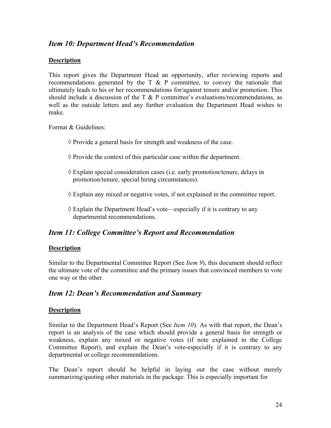## *Item 10: Department Head's Recommendation*

#### **Description**

This report gives the Department Head an opportunity, after reviewing reports and recommendations generated by the  $T \& P$  committee, to convey the rationale that ultimately leads to his or her recommendations for/against tenure and/or promotion. This should include a discussion of the  $T \& P$  committee's evaluations/recommendations, as well as the outside letters and any further evaluation the Department Head wishes to make.

Format & Guidelines:

- $\Diamond$  Provide a general basis for strength and weakness of the case.
- $\Diamond$  Provide the context of this particular case within the department.
- ! Explain special consideration cases (i.e. early promotion/tenure, delays in promotion/tenure, special hiring circumstances).
- $\Diamond$  Explain any mixed or negative votes, if not explained in the committee report.
- $\Diamond$  Explain the Department Head's vote—especially if it is contrary to any departmental recommendations.

## *Item 11: College Committee's Report and Recommendation*

#### **Description**

Similar to the Departmental Committee Report (See *Item 9*), this document should reflect the ultimate vote of the committee and the primary issues that convinced members to vote one way or the other.

## *Item 12: Dean's Recommendation and Summary*

#### **Description**

Similar to the Department Head's Report (See *Item 10*). As with that report, the Dean's report is an analysis of the case which should provide a general basis for strength or weakness, explain any mixed or negative votes (if note explained in the College Committee Report), and explain the Dean's vote-especially if it is contrary to any departmental or college recommendations.

The Dean's report should be helpful in laying out the case without merely summarizing/quoting other materials in the package. This is especially important for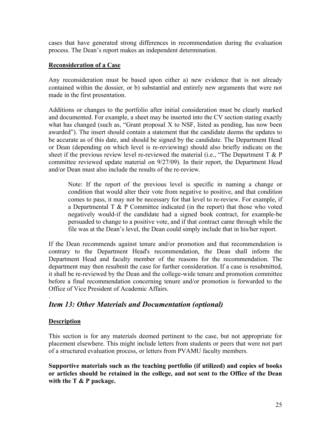cases that have generated strong differences in recommendation during the evaluation process. The Dean's report makes an independent determination.

## **Reconsideration of a Case**

Any reconsideration must be based upon either a) new evidence that is not already contained within the dossier, or b) substantial and entirely new arguments that were not made in the first presentation.

Additions or changes to the portfolio after initial consideration must be clearly marked and documented. For example, a sheet may be inserted into the CV section stating exactly what has changed (such as, "Grant proposal X to NSF, listed as pending, has now been awarded"). The insert should contain a statement that the candidate deems the updates to be accurate as of this date, and should be signed by the candidate. The Department Head or Dean (depending on which level is re-reviewing) should also briefly indicate on the sheet if the previous review level re-reviewed the material (i.e., "The Department  $T \& P$ committee reviewed update material on 9/27/09). In their report, the Department Head and/or Dean must also include the results of the re-review.

Note: If the report of the previous level is specific in naming a change or condition that would alter their vote from negative to positive, and that condition comes to pass, it may not be necessary for that level to re-review. For example, if a Departmental  $T \& P$  Committee indicated (in the report) that those who voted negatively would-if the candidate had a signed book contract, for example-be persuaded to change to a positive vote, and if that contract came through while the file was at the Dean's level, the Dean could simply include that in his/her report.

If the Dean recommends against tenure and/or promotion and that recommendation is contrary to the Department Head's recommendation, the Dean shall inform the Department Head and faculty member of the reasons for the recommendation. The department may then resubmit the case for further consideration. If a case is resubmitted, it shall be re-reviewed by the Dean and the college-wide tenure and promotion committee before a final recommendation concerning tenure and/or promotion is forwarded to the Office of Vice President of Academic Affairs.

## *Item 13: Other Materials and Documentation (optional)*

## **Description**

.

This section is for any materials deemed pertinent to the case, but not appropriate for placement elsewhere. This might include letters from students or peers that were not part of a structured evaluation process, or letters from PVAMU faculty members.

**Supportive materials such as the teaching portfolio (if utilized) and copies of books or articles should be retained in the college, and not sent to the Office of the Dean with the T & P package.**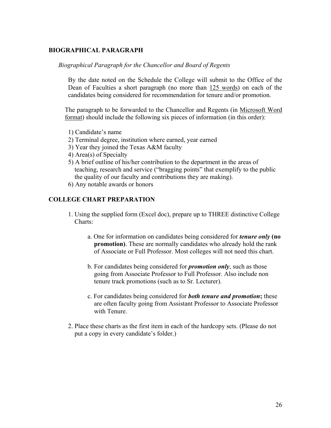## **BIOGRAPHICAL PARAGRAPH**

#### *Biographical Paragraph for the Chancellor and Board of Regents*

By the date noted on the Schedule the College will submit to the Office of the Dean of Faculties a short paragraph (no more than 125 words) on each of the candidates being considered for recommendation for tenure and/or promotion.

The paragraph to be forwarded to the Chancellor and Regents (in Microsoft Word format) should include the following six pieces of information (in this order):

- 1) Candidate's name
- 2) Terminal degree, institution where earned, year earned
- 3) Year they joined the Texas A&M faculty
- 4) Area(s) of Specialty
- 5) A brief outline of his/her contribution to the department in the areas of teaching, research and service ("bragging points" that exemplify to the public the quality of our faculty and contributions they are making).
- 6) Any notable awards or honors

#### **COLLEGE CHART PREPARATION**

- 1. Using the supplied form (Excel doc), prepare up to THREE distinctive College Charts:
	- a. One for information on candidates being considered for *tenure only* **(no promotion**). These are normally candidates who already hold the rank of Associate or Full Professor. Most colleges will not need this chart.
	- b. For candidates being considered for *promotion only*, such as those going from Associate Professor to Full Professor. Also include non tenure track promotions (such as to Sr. Lecturer).
	- c. For candidates being considered for *both tenure and promotion***;** these are often faculty going from Assistant Professor to Associate Professor with Tenure.
- 2. Place these charts as the first item in each of the hardcopy sets. (Please do not put a copy in every candidate's folder.)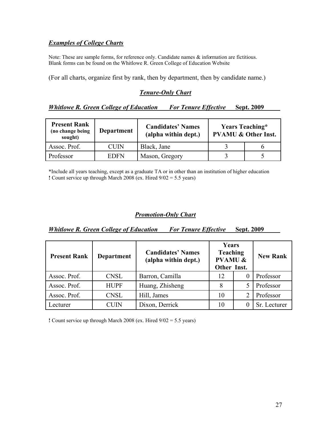## *Examples of College Charts*

Note: These are sample forms, for reference only. Candidate names & information are fictitious. Blank forms can be found on the Whitlowe R. Green College of Education Website

(For all charts, organize first by rank, then by department, then by candidate name.)

#### *Tenure-Only Chart*

#### *Whitlowe R. Green College of Education\_\_\_ For Tenure Effective*\_\_\_**Sept. 2009**\_\_\_\_\_

| <b>Present Rank</b><br>(no change being<br>sought) | <b>Department</b> | <b>Candidates' Names</b><br>(alpha within dept.) | <b>Years Teaching*</b><br><b>PVAMU &amp; Other Inst.</b> |  |  |  |  |  |  |
|----------------------------------------------------|-------------------|--------------------------------------------------|----------------------------------------------------------|--|--|--|--|--|--|
| Assoc. Prof.                                       | <b>CUIN</b>       | Black, Jane                                      |                                                          |  |  |  |  |  |  |
| Professor                                          | <b>EDFN</b>       | Mason, Gregory                                   |                                                          |  |  |  |  |  |  |

\*Include all years teaching, except as a graduate TA or in other than an institution of higher education **!** Count service up through March 2008 (ex. Hired 9/02 = 5.5 years)

#### *Promotion-Only Chart*

| <b>Whitlowe R. Green College of Education</b> |  | <b>For Tenure Effective</b> | <b>Sept. 2009</b> |
|-----------------------------------------------|--|-----------------------------|-------------------|
|                                               |  |                             |                   |

| <b>Present Rank</b> | <b>Department</b> | <b>Candidates' Names</b><br>(alpha within dept.) | Years<br><b>Teaching</b><br><b>PVAMU &amp;</b><br>Other Inst. | <b>New Rank</b> |
|---------------------|-------------------|--------------------------------------------------|---------------------------------------------------------------|-----------------|
| Assoc. Prof.        | <b>CNSL</b>       | Barron, Camilla                                  | 12                                                            | Professor       |
| Assoc. Prof.        | <b>HUPF</b>       | Huang, Zhisheng                                  |                                                               | Professor       |
| Assoc. Prof.        | <b>CNSL</b>       | Hill, James                                      | 10                                                            | Professor       |
| Lecturer            | CUIN              | Dixon, Derrick                                   | 10                                                            | Sr. Lecturer    |

**!** Count service up through March 2008 (ex. Hired 9/02 = 5.5 years)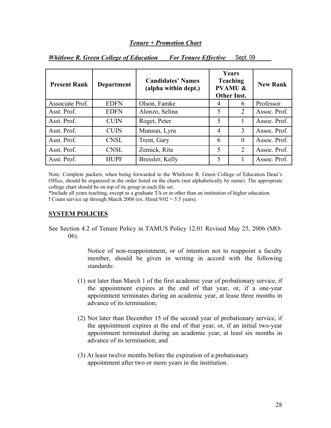*Whitlowe R. Green College of Education For Tenure Effective* Sept. 09

| <b>Present Rank</b> | <b>Department</b> | <b>Candidates' Names</b><br>(alpha within dept.) |   | Years<br><b>Teaching</b><br><b>PVAMU &amp;</b><br><b>Other Inst.</b> | <b>New Rank</b> |
|---------------------|-------------------|--------------------------------------------------|---|----------------------------------------------------------------------|-----------------|
| Associate Prof.     | <b>EDFN</b>       | Olson, Famke                                     | 4 | 6                                                                    | Professor       |
| Asst. Prof.         | <b>EDFN</b>       | Alonzo, Selina                                   | 5 | $\overline{2}$                                                       | Assoc. Prof.    |
| Asst. Prof.         | <b>CUIN</b>       | Roget, Peter                                     | 5 |                                                                      | Assoc. Prof.    |
| Asst. Prof.         | <b>CUIN</b>       | Munsun, Lyra                                     | 4 | 3                                                                    | Assoc. Prof.    |
| Asst. Prof.         | <b>CNSL</b>       | Trent, Gary                                      | 6 | $\theta$                                                             | Assoc. Prof.    |
| Asst. Prof.         | <b>CNSL</b>       | Zemick, Rita                                     | 5 | $\overline{2}$                                                       | Assoc. Prof.    |
| Asst. Prof.         | <b>HUPF</b>       | Bressler, Kelly                                  | 5 |                                                                      | Assoc. Prof.    |

Note: Complete packets, when being forwarded to the Whitlowe R. Green College of Education Dean's Office, should be organized in the order listed on the charts (not alphabetically by name). The appropriate college chart should be on top of its group in each file set.

\*Include all years teaching, except as a graduate TA or in other than an institution of higher education. **!** Count service up through March 2008 (ex. Hired 9/02 = 5.5 years).

#### **SYSTEM POLICIES**

See Section 4.2 of Tenure Policy in TAMUS Policy 12.01 Revised May 25, 2006 (MO-06).

> Notice of non-reappointment, or of intention not to reappoint a faculty member, should be given in writing in accord with the following standards:

- (1) not later than March 1 of the first academic year of probationary service, if the appointment expires at the end of that year, or, if a one-year appointment terminates during an academic year, at lease three months in advance of its termination;
- (2) Not later than December 15 of the second year of probationary service, if the appointment expires at the end of that year, or, if an initial two-year appointment terminated during an academic year, at least six months in advance of its termination; and
- (3) At least twelve months before the expiration of a probationary appointment after two or more years in the institution.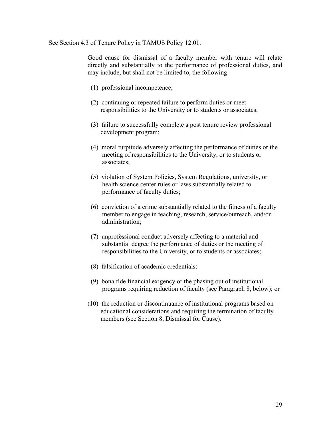#### See Section 4.3 of Tenure Policy in TAMUS Policy 12.01.

Good cause for dismissal of a faculty member with tenure will relate directly and substantially to the performance of professional duties, and may include, but shall not be limited to, the following:

- (1) professional incompetence;
- (2) continuing or repeated failure to perform duties or meet responsibilities to the University or to students or associates;
- (3) failure to successfully complete a post tenure review professional development program;
- (4) moral turpitude adversely affecting the performance of duties or the meeting of responsibilities to the University, or to students or associates;
- (5) violation of System Policies, System Regulations, university, or health science center rules or laws substantially related to performance of faculty duties;
- (6) conviction of a crime substantially related to the fitness of a faculty member to engage in teaching, research, service/outreach, and/or administration;
- (7) unprofessional conduct adversely affecting to a material and substantial degree the performance of duties or the meeting of responsibilities to the University, or to students or associates;
- (8) falsification of academic credentials;
- (9) bona fide financial exigency or the phasing out of institutional programs requiring reduction of faculty (see Paragraph 8, below); or
- (10) the reduction or discontinuance of institutional programs based on educational considerations and requiring the termination of faculty members (see Section 8, Dismissal for Cause).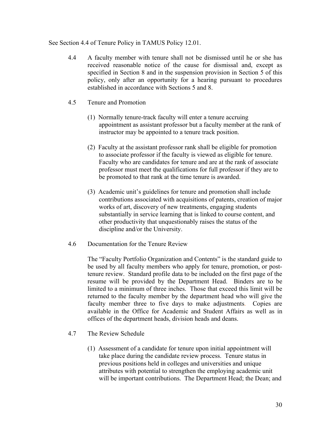#### See Section 4.4 of Tenure Policy in TAMUS Policy 12.01.

- 4.4 A faculty member with tenure shall not be dismissed until he or she has received reasonable notice of the cause for dismissal and, except as specified in Section 8 and in the suspension provision in Section 5 of this policy, only after an opportunity for a hearing pursuant to procedures established in accordance with Sections 5 and 8.
- 4.5 Tenure and Promotion
	- (1) Normally tenure-track faculty will enter a tenure accruing appointment as assistant professor but a faculty member at the rank of instructor may be appointed to a tenure track position.
	- (2) Faculty at the assistant professor rank shall be eligible for promotion to associate professor if the faculty is viewed as eligible for tenure. Faculty who are candidates for tenure and are at the rank of associate professor must meet the qualifications for full professor if they are to be promoted to that rank at the time tenure is awarded.
	- (3) Academic unit's guidelines for tenure and promotion shall include contributions associated with acquisitions of patents, creation of major works of art, discovery of new treatments, engaging students substantially in service learning that is linked to course content, and other productivity that unquestionably raises the status of the discipline and/or the University.
- 4.6 Documentation for the Tenure Review

 The "Faculty Portfolio Organization and Contents" is the standard guide to be used by all faculty members who apply for tenure, promotion, or posttenure review. Standard profile data to be included on the first page of the resume will be provided by the Department Head. Binders are to be limited to a minimum of three inches. Those that exceed this limit will be returned to the faculty member by the department head who will give the faculty member three to five days to make adjustments. Copies are available in the Office for Academic and Student Affairs as well as in offices of the department heads, division heads and deans.

- 4.7 The Review Schedule
	- (1) Assessment of a candidate for tenure upon initial appointment will take place during the candidate review process. Tenure status in previous positions held in colleges and universities and unique attributes with potential to strengthen the employing academic unit will be important contributions. The Department Head; the Dean; and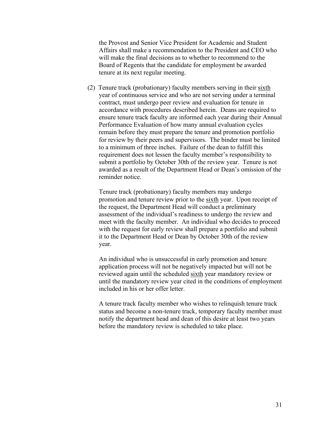the Provost and Senior Vice President for Academic and Student Affairs shall make a recommendation to the President and CEO who will make the final decisions as to whether to recommend to the Board of Regents that the candidate for employment be awarded tenure at its next regular meeting.

(2) Tenure track (probationary) faculty members serving in their sixth year of continuous service and who are not serving under a terminal contract, must undergo peer review and evaluation for tenure in accordance with procedures described herein. Deans are required to ensure tenure track faculty are informed each year during their Annual Performance Evaluation of how many annual evaluation cycles remain before they must prepare the tenure and promotion portfolio for review by their peers and supervisors. The binder must be limited to a minimum of three inches. Failure of the dean to fulfill this requirement does not lessen the faculty member's responsibility to submit a portfolio by October 30th of the review year. Tenure is not awarded as a result of the Department Head or Dean's omission of the reminder notice.

 Tenure track (probationary) faculty members may undergo promotion and tenure review prior to the sixth year. Upon receipt of the request, the Department Head will conduct a preliminary assessment of the individual's readiness to undergo the review and meet with the faculty member. An individual who decides to proceed with the request for early review shall prepare a portfolio and submit it to the Department Head or Dean by October 30th of the review year.

 An individual who is unsuccessful in early promotion and tenure application process will not be negatively impacted but will not be reviewed again until the scheduled sixth year mandatory review or until the mandatory review year cited in the conditions of employment included in his or her offer letter.

 A tenure track faculty member who wishes to relinquish tenure track status and become a non-tenure track, temporary faculty member must notify the department head and dean of this desire at least two years before the mandatory review is scheduled to take place.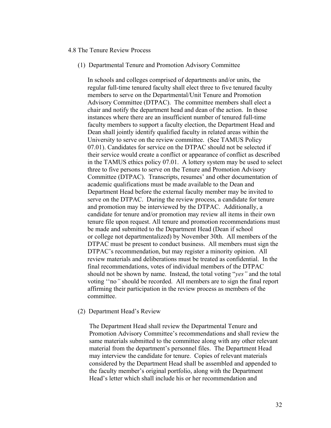#### 4.8 The Tenure Review Process

(1) Departmental Tenure and Promotion Advisory Committee

In schools and colleges comprised of departments and/or units, the regular full-time tenured faculty shall elect three to five tenured faculty members to serve on the Departmental/Unit Tenure and Promotion Advisory Committee (DTPAC). The committee members shall elect a chair and notify the department head and dean of the action. In those instances where there are an insufficient number of tenured full-time faculty members to support a faculty election, the Department Head and Dean shall jointly identify qualified faculty in related areas within the University to serve on the review committee. (See TAMUS Policy 07.01). Candidates for service on the DTPAC should not be selected if their service would create a conflict or appearance of conflict as described in the TAMUS ethics policy 07.01. A lottery system may be used to select three to five persons to serve on the Tenure and Promotion Advisory Committee (DTPAC). Transcripts, resumes' and other documentation of academic qualifications must be made available to the Dean and Department Head before the external faculty member may be invited to serve on the DTPAC. During the review process, a candidate for tenure and promotion may be interviewed by the DTPAC. Additionally, a candidate for tenure and/or promotion may review all items in their own tenure file upon request. All tenure and promotion recommendations must be made and submitted to the Department Head (Dean if school or college not departmentalized) by November 30th. All members of the DTPAC must be present to conduct business. All members must sign the DTPAC's recommendation, but may register a minority opinion. All review materials and deliberations must be treated as confidential. In the final recommendations, votes of individual members of the DTPAC should not be shown by name. Instead, the total voting "*yes"* and the total voting ''no*"* should be recorded. All members are to sign the final report affirming their participation in the review process as members of the committee.

#### (2) Department Head's Review

 The Department Head shall review the Departmental Tenure and Promotion Advisory Committee's recommendations and shall review the same materials submitted to the committee along with any other relevant material from the department's personnel files. The Department Head may interview the candidate for tenure. Copies of relevant materials considered by the Department Head shall be assembled and appended to the faculty member's original portfolio, along with the Department Head's letter which shall include his or her recommendation and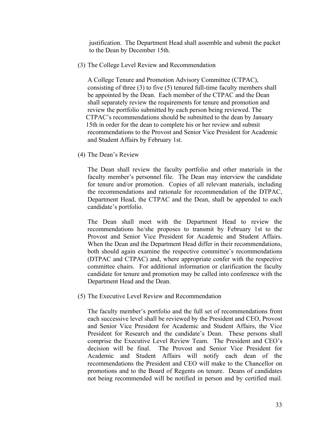justification. The Department Head shall assemble and submit the packet to the Dean by December 15th.

(3) The College Level Review and Recommendation

 A College Tenure and Promotion Advisory Committee (CTPAC), consisting of three (3) to five (5) tenured full-time faculty members shall be appointed by the Dean. Each member of the CTPAC and the Dean shall separately review the requirements for tenure and promotion and review the portfolio submitted by each person being reviewed. The CTPAC's recommendations should be submitted to the dean by January 15th in order for the dean to complete his or her review and submit recommendations to the Provost and Senior Vice President for Academic and Student Affairs by February 1st.

(4) The Dean's Review

 The Dean shall review the faculty portfolio and other materials in the faculty member's personnel file. The Dean may interview the candidate for tenure and/or promotion. Copies of all relevant materials, including the recommendations and rationale for recommendation of the DTPAC, Department Head, the CTPAC and the Dean, shall be appended to each candidate's portfolio.

 The Dean shall meet with the Department Head to review the recommendations he/she proposes to transmit by February 1st to the Provost and Senior Vice President for Academic and Student Affairs. When the Dean and the Department Head differ in their recommendations, both should again examine the respective committee's recommendations (DTPAC and CTPAC) and, where appropriate confer with the respective committee chairs. For additional information or clarification the faculty candidate for tenure and promotion may be called into conference with the Department Head and the Dean.

(5) The Executive Level Review and Recommendation

 The faculty member's portfolio and the full set of recommendations from each successive level shall be reviewed by the President and CEO, Provost and Senior Vice President for Academic and Student Affairs, the Vice President for Research and the candidate's Dean. These persons shall comprise the Executive Level Review Team. The President and CEO's decision will be final. The Provost and Senior Vice President for Academic and Student Affairs will notify each dean of the recommendations the President and CEO will make to the Chancellor on promotions and to the Board of Regents on tenure. Deans of candidates not being recommended will be notified in person and by certified mail.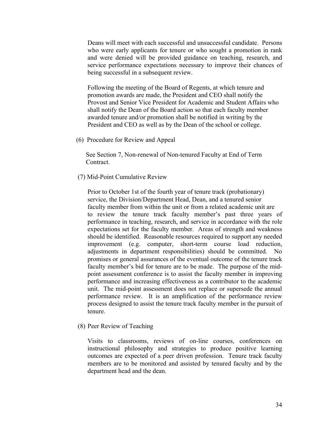Deans will meet with each successful and unsuccessful candidate. Persons who were early applicants for tenure or who sought a promotion in rank and were denied will be provided guidance on teaching, research, and service performance expectations necessary to improve their chances of being successful in a subsequent review.

Following the meeting of the Board of Regents, at which tenure and promotion awards are made, the President and CEO shall notify the Provost and Senior Vice President for Academic and Student Affairs who shall notify the Dean of the Board action so that each faculty member awarded tenure and/or promotion shall be notified in writing by the President and CEO as well as by the Dean of the school or college.

(6) Procedure for Review and Appeal

 See Section 7, Non-renewal of Non-tenured Faculty at End of Term Contract.

(7) Mid-Point Cumulative Review

 Prior to October 1st of the fourth year of tenure track (probationary) service, the Division/Department Head, Dean, and a tenured senior faculty member from within the unit or from a related academic unit are to review the tenure track faculty member's past three years of performance in teaching, research, and service in accordance with the role expectations set for the faculty member. Areas of strength and weakness should be identified. Reasonable resources required to support any needed improvement (e.g. computer, short-term course load reduction, adjustments in department responsibilities) should be committed. No promises or general assurances of the eventual outcome of the tenure track faculty member's bid for tenure are to be made. The purpose of the midpoint assessment conference is to assist the faculty member in improving performance and increasing effectiveness as a contributor to the academic unit. The mid-point assessment does not replace or supersede the annual performance review. It is an amplification of the performance review process designed to assist the tenure track faculty member in the pursuit of tenure.

(8) Peer Review of Teaching

 Visits to classrooms, reviews of on-line courses, conferences on instructional philosophy and strategies to produce positive learning outcomes are expected of a peer driven profession. Tenure track faculty members are to be monitored and assisted by tenured faculty and by the department head and the dean.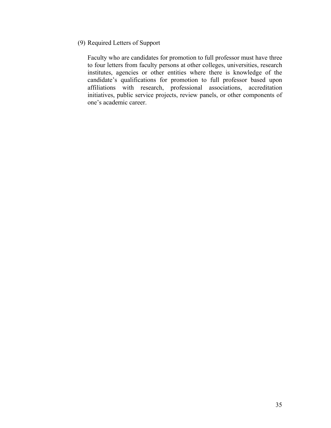(9) Required Letters of Support

 Faculty who are candidates for promotion to full professor must have three to four letters from faculty persons at other colleges, universities, research institutes, agencies or other entities where there is knowledge of the candidate's qualifications for promotion to full professor based upon affiliations with research, professional associations, accreditation initiatives, public service projects, review panels, or other components of one's academic career.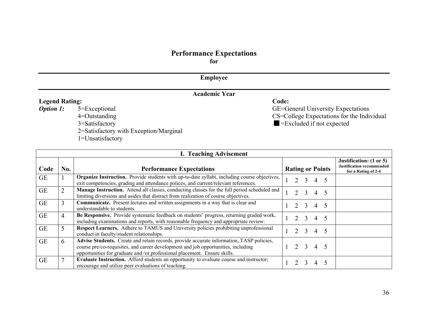# **Performance Expectations**

**for**

## **Employee**

|                       | <b>Academic Year</b>                   |                                            |
|-----------------------|----------------------------------------|--------------------------------------------|
| <b>Legend Rating:</b> |                                        | Code:                                      |
| <b>Option 1:</b>      | 5=Exceptional                          | <b>GE=General University Expectations</b>  |
|                       | $4 =$ Outstanding                      | CS=College Expectations for the Individual |
|                       | 3=Satisfactory                         | $\blacksquare$ = Excluded if not expected  |
|                       | 2=Satisfactory with Exception/Marginal |                                            |
|                       | 1=Unsatisfactory                       |                                            |

|           | <b>I. Teaching Advisement</b> |                                                                                                                                                                                                                                                            |  |                     |             |   |     |  |  |  |
|-----------|-------------------------------|------------------------------------------------------------------------------------------------------------------------------------------------------------------------------------------------------------------------------------------------------------|--|---------------------|-------------|---|-----|--|--|--|
| Code      | No.                           | Justification: (1 or 5)<br><b>Justification recommended</b><br><b>Rating or Points</b><br><b>Performance Expectations</b>                                                                                                                                  |  |                     |             |   |     |  |  |  |
| <b>GE</b> |                               | Organize Instruction. Provide students with up-to-date syllabi, including course objectives,<br>exit competencies, grading and attendance polices, and current/relevant references.                                                                        |  |                     | $2 \quad 3$ |   | 4 5 |  |  |  |
| <b>GE</b> | 2                             | <b>Manage Instruction.</b> Attend all classes, conducting classes for the full period scheduled and<br>limiting diversions and asides that distract from realization of course objectives.                                                                 |  |                     | 2 3 4 5     |   |     |  |  |  |
| <b>GE</b> | 3                             | <b>Communicate.</b> Present lectures and written assignments in a way that is clear and<br>understandable to students.                                                                                                                                     |  |                     | 2 3         | 4 |     |  |  |  |
| <b>GE</b> | 4                             | Be Responsive. Provide systematic feedback on students' progress, returning graded work,<br>including examinations and reports, with reasonable frequency and appropriate review.                                                                          |  | $1 \quad 2 \quad 3$ |             |   | 4 5 |  |  |  |
| <b>GE</b> | 5                             | <b>Respect Learners.</b> Adhere to TAMUS and University policies prohibiting unprofessional<br>conduct in faculty/student relationships.                                                                                                                   |  | $2 \quad 3$         |             |   | 4 5 |  |  |  |
| <b>GE</b> | 6                             | Advise Students. Create and retain records, provide accurate information, TASP policies,<br>course pre/co-requisites, and career development and job opportunities, including<br>opportunities for graduate and /or professional placement. Ensure skills. |  | $1 \t2 \t3 \t4 \t5$ |             |   |     |  |  |  |
| <b>GE</b> |                               | <b>Evaluate Instruction.</b> Afford students an opportunity to evaluate course and instructor;<br>encourage and utilize peer evaluations of teaching.                                                                                                      |  |                     |             |   | 4 5 |  |  |  |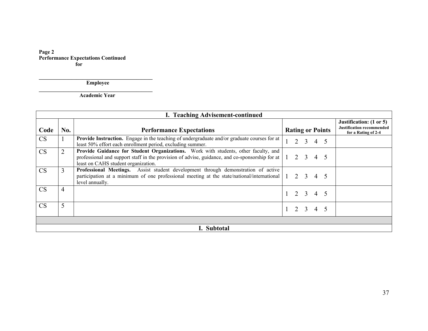**Page 2 Performance Expectations Continued for** 

 **Employee** 

**\_\_\_\_\_\_\_\_\_\_\_\_\_\_\_\_\_\_\_\_\_\_\_\_\_\_\_\_\_\_\_\_\_\_\_\_\_\_\_\_\_\_ Academic Year** 

|           | I. Teaching Advisement-continued |                                                                                                                                                                                                                                                                               |  |  |             |                     |                         |                                                                                    |  |  |
|-----------|----------------------------------|-------------------------------------------------------------------------------------------------------------------------------------------------------------------------------------------------------------------------------------------------------------------------------|--|--|-------------|---------------------|-------------------------|------------------------------------------------------------------------------------|--|--|
| Code      | No.                              | <b>Performance Expectations</b>                                                                                                                                                                                                                                               |  |  |             |                     | <b>Rating or Points</b> | Justification: (1 or 5)<br><b>Justification recommended</b><br>for a Rating of 2-4 |  |  |
| <b>CS</b> |                                  | <b>Provide Instruction.</b> Engage in the teaching of undergraduate and/or graduate courses for at<br>least 50% effort each enrollment period, excluding summer.                                                                                                              |  |  | $2 \quad 3$ | 4 5                 |                         |                                                                                    |  |  |
| <b>CS</b> | $\overline{2}$                   | Provide Guidance for Student Organizations. Work with students, other faculty, and<br>professional and support staff in the provision of advise, guidance, and co-sponsorship for at $\begin{bmatrix} 1 & 2 & 3 & 4 & 5 \end{bmatrix}$<br>least on CAHS student organization. |  |  |             |                     |                         |                                                                                    |  |  |
| <b>CS</b> | 3                                | Professional Meetings. Assist student development through demonstration of active<br>participation at a minimum of one professional meeting at the state/national/international $\begin{bmatrix} 1 & 2 & 3 & 4 & 5 \end{bmatrix}$<br>level annually.                          |  |  |             |                     |                         |                                                                                    |  |  |
| <b>CS</b> | 4                                |                                                                                                                                                                                                                                                                               |  |  |             | $1 \t2 \t3 \t4 \t5$ |                         |                                                                                    |  |  |
| <b>CS</b> | 5                                |                                                                                                                                                                                                                                                                               |  |  |             | $1 \t2 \t3 \t4 \t5$ |                         |                                                                                    |  |  |
|           |                                  |                                                                                                                                                                                                                                                                               |  |  |             |                     |                         |                                                                                    |  |  |
|           |                                  | I. Subtotal                                                                                                                                                                                                                                                                   |  |  |             |                     |                         |                                                                                    |  |  |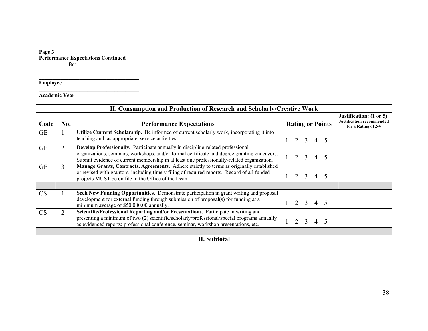#### **Page 3 Performance Expectations Continued for**

**\_\_\_\_\_\_\_\_\_\_\_\_\_\_\_\_\_\_\_\_\_\_\_\_\_\_\_\_\_\_\_\_\_\_\_\_\_** 

**Employee** 

**Academic Year** 

|           | II. Consumption and Production of Research and Scholarly/Creative Work |                                                                                                                                                                                                                                                                               |  |   |                |                         |     |  |                                                                                    |  |
|-----------|------------------------------------------------------------------------|-------------------------------------------------------------------------------------------------------------------------------------------------------------------------------------------------------------------------------------------------------------------------------|--|---|----------------|-------------------------|-----|--|------------------------------------------------------------------------------------|--|
| Code      | No.                                                                    | <b>Performance Expectations</b>                                                                                                                                                                                                                                               |  |   |                | <b>Rating or Points</b> |     |  | Justification: (1 or 5)<br><b>Justification recommended</b><br>for a Rating of 2-4 |  |
| <b>GE</b> |                                                                        | Utilize Current Scholarship. Be informed of current scholarly work, incorporating it into<br>teaching and, as appropriate, service activities.                                                                                                                                |  | 2 | 3              | $\overline{4}$          |     |  |                                                                                    |  |
| <b>GE</b> | $\overline{2}$                                                         | Develop Professionally. Participate annually in discipline-related professional<br>organizations, seminars, workshops, and/or formal certificate and degree granting endeavors.<br>Submit evidence of current membership in at least one professionally-related organization. |  | 2 | 3              | $\overline{4}$          | 5   |  |                                                                                    |  |
| <b>GE</b> | $\overline{3}$                                                         | Manage Grants, Contracts, Agreements. Adhere strictly to terms as originally established<br>or revised with grantors, including timely filing of required reports. Record of all funded<br>projects MUST be on file in the Office of the Dean.                                |  | 2 | $\overline{3}$ |                         | 4 5 |  |                                                                                    |  |
|           |                                                                        |                                                                                                                                                                                                                                                                               |  |   |                |                         |     |  |                                                                                    |  |
| CS        | 1                                                                      | Seek New Funding Opportunities. Demonstrate participation in grant writing and proposal<br>development for external funding through submission of proposal(s) for funding at a<br>minimum average of \$50,000.00 annually.                                                    |  |   | 2 3            |                         | 4 5 |  |                                                                                    |  |
| <b>CS</b> | $\overline{2}$                                                         | Scientific/Professional Reporting and/or Presentations. Participate in writing and<br>presenting a minimum of two (2) scientific/scholarly/professional/special programs annually<br>as evidenced reports; professional conference, seminar, workshop presentations, etc.     |  |   |                |                         |     |  |                                                                                    |  |
|           |                                                                        |                                                                                                                                                                                                                                                                               |  |   |                |                         |     |  |                                                                                    |  |
|           |                                                                        | <b>II.</b> Subtotal                                                                                                                                                                                                                                                           |  |   |                |                         |     |  |                                                                                    |  |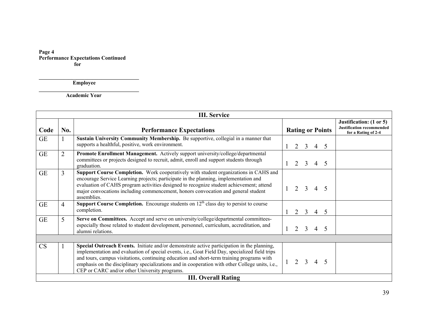**Page 4 Performance Expectations Continued for** 

 **Employee** 

 **Academic Year** 

**\_\_\_\_\_\_\_\_\_\_\_\_\_\_\_\_\_\_\_\_\_\_\_\_\_\_\_\_\_\_\_\_\_\_\_\_\_** 

|           |                | <b>III.</b> Service                                                                                                                                                                                                                                                                                                                                                                                                                           |              |   |                |                |            |                         |                                                                                    |
|-----------|----------------|-----------------------------------------------------------------------------------------------------------------------------------------------------------------------------------------------------------------------------------------------------------------------------------------------------------------------------------------------------------------------------------------------------------------------------------------------|--------------|---|----------------|----------------|------------|-------------------------|------------------------------------------------------------------------------------|
| Code      | No.            | <b>Performance Expectations</b>                                                                                                                                                                                                                                                                                                                                                                                                               |              |   |                |                |            | <b>Rating or Points</b> | Justification: (1 or 5)<br><b>Justification recommended</b><br>for a Rating of 2-4 |
| <b>GE</b> |                | Sustain University Community Membership. Be supportive, collegial in a manner that<br>supports a healthful, positive, work environment.                                                                                                                                                                                                                                                                                                       |              |   | $2 \quad 3$    |                | $4\quad 5$ |                         |                                                                                    |
| <b>GE</b> | $\overline{2}$ | Promote Enrollment Management. Actively support university/college/departmental<br>committees or projects designed to recruit, admit, enroll and support students through<br>graduation.                                                                                                                                                                                                                                                      |              |   | $2 \quad 3$    | $\overline{4}$ |            | -5                      |                                                                                    |
| <b>GE</b> | 3              | Support Course Completion. Work cooperatively with student organizations in CAHS and<br>encourage Service Learning projects; participate in the planning, implementation and<br>evaluation of CAHS program activities designed to recognize student achievement; attend<br>major convocations including commencement, honors convocation and general student<br>assemblies.                                                                   |              | 2 | $\mathcal{E}$  | $\overline{4}$ |            | 5                       |                                                                                    |
| <b>GE</b> | 4              | Support Course Completion. Encourage students on $12th$ class day to persist to course<br>completion.                                                                                                                                                                                                                                                                                                                                         | $\mathbf{1}$ |   | $2 \quad 3$    | $\overline{4}$ |            | $5\overline{)}$         |                                                                                    |
| <b>GE</b> | 5              | Serve on Committees. Accept and serve on university/college/departmental committees-<br>especially those related to student development, personnel, curriculum, accreditation, and<br>alumni relations.                                                                                                                                                                                                                                       |              |   | $2 \quad 3$    | 4 5            |            |                         |                                                                                    |
|           |                |                                                                                                                                                                                                                                                                                                                                                                                                                                               |              |   |                |                |            |                         |                                                                                    |
| <b>CS</b> |                | Special Outreach Events. Initiate and/or demonstrate active participation in the planning,<br>implementation and evaluation of special events, i.e., Goat Field Day, specialized field trips<br>and tours, campus visitations, continuing education and short-term training programs with<br>emphasis on the disciplinary specializations and in cooperation with other College units, i.e.,<br>CEP or CARC and/or other University programs. |              | 2 | $\overline{3}$ | $\overline{4}$ |            | 5                       |                                                                                    |
|           |                | <b>III. Overall Rating</b>                                                                                                                                                                                                                                                                                                                                                                                                                    |              |   |                |                |            |                         |                                                                                    |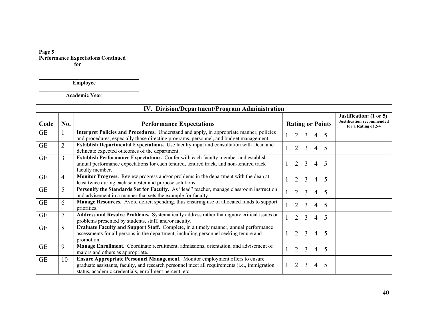**Page 5 Performance Expectations Continued for** 

 **Employee** 

 **Academic Year** 

**\_\_\_\_\_\_\_\_\_\_\_\_\_\_\_\_\_\_\_\_\_\_\_\_\_\_\_\_\_\_\_\_\_\_\_\_\_** 

|           |                | IV. Division/Department/Program Administration                                                                                                                                                                                                 |      |                |                |                |                         |                                                                                    |
|-----------|----------------|------------------------------------------------------------------------------------------------------------------------------------------------------------------------------------------------------------------------------------------------|------|----------------|----------------|----------------|-------------------------|------------------------------------------------------------------------------------|
| Code      | No.            | <b>Performance Expectations</b>                                                                                                                                                                                                                |      |                |                |                | <b>Rating or Points</b> | Justification: (1 or 5)<br><b>Justification recommended</b><br>for a Rating of 2-4 |
| <b>GE</b> |                | Interpret Policies and Procedures. Understand and apply, in appropriate manner, policies<br>and procedures, especially those directing programs, personnel, and budget management.                                                             |      | 2              | $\overline{3}$ |                | $4\quad 5$              |                                                                                    |
| <b>GE</b> | $\overline{2}$ | Establish Departmental Expectations. Use faculty input and consultation with Dean and<br>delineate expected outcomes of the department.                                                                                                        |      | 2              | 3              | $\overline{4}$ | 5                       |                                                                                    |
| <b>GE</b> | $\mathcal{E}$  | Establish Performance Expectations. Confer with each faculty member and establish<br>annual performance expectations for each tenured, tenured track, and non-tenured track<br>faculty member.                                                 | $+1$ |                | $2 \quad 3$    |                | $4\quad 5$              |                                                                                    |
| <b>GE</b> | $\overline{4}$ | Monitor Progress. Review progress and/or problems in the department with the dean at<br>least twice during each semester and propose solutions.                                                                                                |      | 2              | 3              | $\overline{4}$ | 5                       |                                                                                    |
| <b>GE</b> | 5              | Personify the Standards Set for Faculty. As "lead" teacher, manage classroom instruction<br>and advisement in a manner that sets the example for faculty.                                                                                      |      | 2              | 3              | $\overline{4}$ | 5                       |                                                                                    |
| <b>GE</b> | 6              | <b>Manage Resources.</b> Avoid deficit spending, thus ensuring use of allocated funds to support<br>priorities.                                                                                                                                |      | $\overline{2}$ | 3              | $\overline{4}$ | 5                       |                                                                                    |
| <b>GE</b> | $\tau$         | Address and Resolve Problems. Systematically address rather than ignore critical issues or<br>problems presented by students, staff, and/or faculty.                                                                                           |      | 2              | $\mathcal{E}$  |                | $4\quad 5$              |                                                                                    |
| <b>GE</b> | 8              | Evaluate Faculty and Support Staff. Complete, in a timely manner, annual performance<br>assessments for all persons in the department, including personnel seeking tenure and<br>promotion.                                                    |      |                | $2 \quad 3$    |                | $4\quad 5$              |                                                                                    |
| <b>GE</b> | 9              | Manage Enrollment. Coordinate recruitment, admissions, orientation, and advisement of<br>majors and others as appropriate.                                                                                                                     |      | 2              | $\mathcal{E}$  |                | $4\quad 5$              |                                                                                    |
| <b>GE</b> | 10             | <b>Ensure Appropriate Personnel Management.</b> Monitor employment offers to ensure<br>graduate assistants, faculty, and research personnel meet all requirements (i.e., immigration<br>status, academic credentials, enrollment percent, etc. |      | $\mathcal{D}$  | 3              | 4              | 5                       |                                                                                    |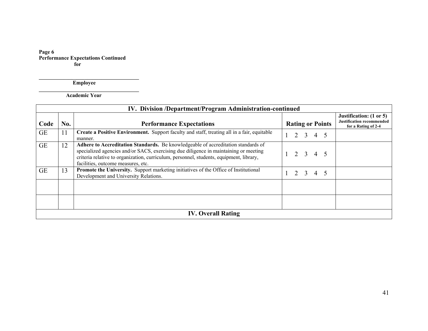**Page 6 Performance Expectations Continued for** 

 **Employee** 

 **Academic Year** 

**\_\_\_\_\_\_\_\_\_\_\_\_\_\_\_\_\_\_\_\_\_\_\_\_\_\_\_\_\_\_\_\_\_\_\_\_\_** 

|           | IV. Division /Department/Program Administration-continued |                                                                                                                                                                                                                                                                                                            |  |   |                         |                     |                         |                                                                                    |  |
|-----------|-----------------------------------------------------------|------------------------------------------------------------------------------------------------------------------------------------------------------------------------------------------------------------------------------------------------------------------------------------------------------------|--|---|-------------------------|---------------------|-------------------------|------------------------------------------------------------------------------------|--|
| Code      | No.                                                       | <b>Performance Expectations</b>                                                                                                                                                                                                                                                                            |  |   |                         |                     | <b>Rating or Points</b> | Justification: (1 or 5)<br><b>Justification recommended</b><br>for a Rating of 2-4 |  |
| <b>GE</b> | 11                                                        | Create a Positive Environment. Support faculty and staff, treating all in a fair, equitable<br>manner.                                                                                                                                                                                                     |  | 2 | $\overline{\mathbf{3}}$ |                     | 4 5                     |                                                                                    |  |
| <b>GE</b> | 12                                                        | Adhere to Accreditation Standards. Be knowledgeable of accreditation standards of<br>specialized agencies and/or SACS, exercising due diligence in maintaining or meeting<br>criteria relative to organization, curriculum, personnel, students, equipment, library,<br>facilities, outcome measures, etc. |  |   |                         | $1 \t2 \t3 \t4 \t5$ |                         |                                                                                    |  |
| <b>GE</b> | 13                                                        | Promote the University. Support marketing initiatives of the Office of Institutional<br>Development and University Relations.                                                                                                                                                                              |  |   | 2 3                     |                     | 4 5                     |                                                                                    |  |
|           |                                                           |                                                                                                                                                                                                                                                                                                            |  |   |                         |                     |                         |                                                                                    |  |
|           |                                                           |                                                                                                                                                                                                                                                                                                            |  |   |                         |                     |                         |                                                                                    |  |
|           |                                                           | <b>IV. Overall Rating</b>                                                                                                                                                                                                                                                                                  |  |   |                         |                     |                         |                                                                                    |  |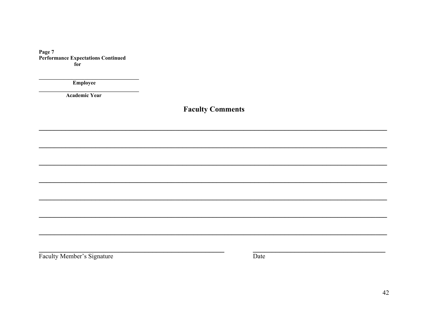Page 7 Performance Expectations Continued  $\overline{\textbf{for}}$ 

Employee

**Academic Year** 

**Faculty Comments** 

Faculty Member's Signature

Date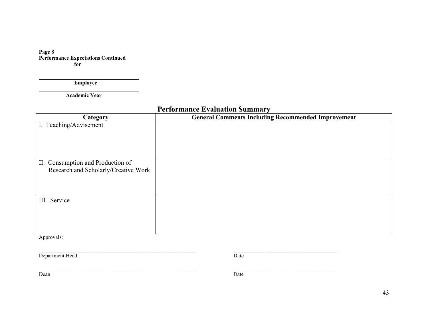**Page 8 Performance Expectations Continued for** 

 **Employee \_\_\_\_\_\_\_\_\_\_\_\_\_\_\_\_\_\_\_\_\_\_\_\_\_\_\_\_\_\_\_\_\_\_\_\_\_** 

 **Academic Year** 

|                                      | I CHOI mance Lyanaanon Sammai                             |  |  |  |  |  |  |  |  |
|--------------------------------------|-----------------------------------------------------------|--|--|--|--|--|--|--|--|
| Category                             | <b>General Comments Including Recommended Improvement</b> |  |  |  |  |  |  |  |  |
| I. Teaching/Advisement               |                                                           |  |  |  |  |  |  |  |  |
|                                      |                                                           |  |  |  |  |  |  |  |  |
|                                      |                                                           |  |  |  |  |  |  |  |  |
|                                      |                                                           |  |  |  |  |  |  |  |  |
| II. Consumption and Production of    |                                                           |  |  |  |  |  |  |  |  |
| Research and Scholarly/Creative Work |                                                           |  |  |  |  |  |  |  |  |
|                                      |                                                           |  |  |  |  |  |  |  |  |
|                                      |                                                           |  |  |  |  |  |  |  |  |
| III. Service                         |                                                           |  |  |  |  |  |  |  |  |
|                                      |                                                           |  |  |  |  |  |  |  |  |
|                                      |                                                           |  |  |  |  |  |  |  |  |
|                                      |                                                           |  |  |  |  |  |  |  |  |
|                                      |                                                           |  |  |  |  |  |  |  |  |

 $\mathcal{L}_\text{max}$  , and the set of the set of the set of the set of the set of the set of the set of the set of the set of the set of the set of the set of the set of the set of the set of the set of the set of the set of the

 $\mathcal{L}_\text{max}$  , and the set of the set of the set of the set of the set of the set of the set of the set of the set of the set of the set of the set of the set of the set of the set of the set of the set of the set of the

**Performance Evaluation Summary** 

Approvals:

**Department Head** Date

Dean Date by the United States of the United States of the United States of the United States of the United States of the United States of the United States of the United States of the United States of the United States of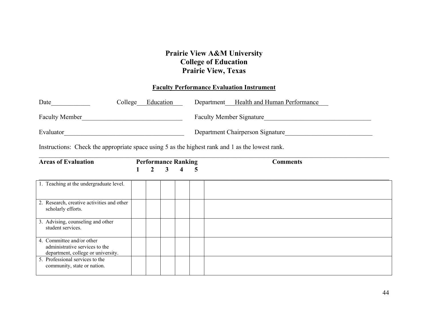## **Prairie View A&M University College of Education Prairie View, Texas**

## **Faculty Performance Evaluation Instrument**

| Date                  | Education<br>College | Department Health and Human Performance |
|-----------------------|----------------------|-----------------------------------------|
| <b>Faculty Member</b> |                      | <b>Faculty Member Signature</b>         |
| Evaluator             |                      | Department Chairperson Signature        |

Instructions: Check the appropriate space using 5 as the highest rank and 1 as the lowest rank.

| <b>Areas of Evaluation</b>                                                                        |  | <b>Performance Ranking</b> |              |                         |   | <b>Comments</b> |
|---------------------------------------------------------------------------------------------------|--|----------------------------|--------------|-------------------------|---|-----------------|
|                                                                                                   |  | $\overline{2}$             | $\mathbf{3}$ | $\overline{\mathbf{4}}$ | 5 |                 |
| 1. Teaching at the undergraduate level.                                                           |  |                            |              |                         |   |                 |
| 2. Research, creative activities and other<br>scholarly efforts.                                  |  |                            |              |                         |   |                 |
| 3. Advising, counseling and other<br>student services.                                            |  |                            |              |                         |   |                 |
| 4. Committee and/or other<br>administrative services to the<br>department, college or university. |  |                            |              |                         |   |                 |
| 5. Professional services to the<br>community, state or nation.                                    |  |                            |              |                         |   |                 |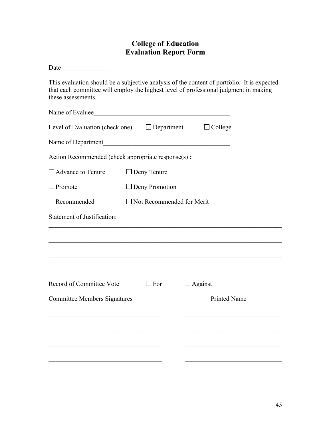## **College of Education Evaluation Report Form**

| This evaluation should be a subjective analysis of the content of portfolio. It is expected<br>that each committee will employ the highest level of professional judgment in making<br>these assessments. |                                                      |  |                |  |  |  |  |  |  |  |
|-----------------------------------------------------------------------------------------------------------------------------------------------------------------------------------------------------------|------------------------------------------------------|--|----------------|--|--|--|--|--|--|--|
| Name of Evaluee                                                                                                                                                                                           |                                                      |  |                |  |  |  |  |  |  |  |
| Level of Evaluation (check one) $\Box$ Department $\Box$ College                                                                                                                                          |                                                      |  |                |  |  |  |  |  |  |  |
| Name of Department                                                                                                                                                                                        | <u> 1980 - Jan Barnett, fransk politik (d. 1980)</u> |  |                |  |  |  |  |  |  |  |
| Action Recommended (check appropriate response(s):                                                                                                                                                        |                                                      |  |                |  |  |  |  |  |  |  |
|                                                                                                                                                                                                           | $\Box$ Advance to Tenure $\Box$ Deny Tenure          |  |                |  |  |  |  |  |  |  |
| $\Box$ Promote                                                                                                                                                                                            | $\Box$ Deny Promotion                                |  |                |  |  |  |  |  |  |  |
| $\Box$ Recommended                                                                                                                                                                                        | $\Box$ Not Recommended for Merit                     |  |                |  |  |  |  |  |  |  |
| <b>Statement of Justification:</b>                                                                                                                                                                        |                                                      |  |                |  |  |  |  |  |  |  |
|                                                                                                                                                                                                           |                                                      |  |                |  |  |  |  |  |  |  |
|                                                                                                                                                                                                           |                                                      |  |                |  |  |  |  |  |  |  |
|                                                                                                                                                                                                           |                                                      |  |                |  |  |  |  |  |  |  |
| Record of Committee Vote                                                                                                                                                                                  | $\square$ For                                        |  | $\Box$ Against |  |  |  |  |  |  |  |
| <b>Printed Name</b><br><b>Committee Members Signatures</b>                                                                                                                                                |                                                      |  |                |  |  |  |  |  |  |  |
|                                                                                                                                                                                                           |                                                      |  |                |  |  |  |  |  |  |  |
|                                                                                                                                                                                                           |                                                      |  |                |  |  |  |  |  |  |  |
|                                                                                                                                                                                                           |                                                      |  |                |  |  |  |  |  |  |  |
|                                                                                                                                                                                                           |                                                      |  |                |  |  |  |  |  |  |  |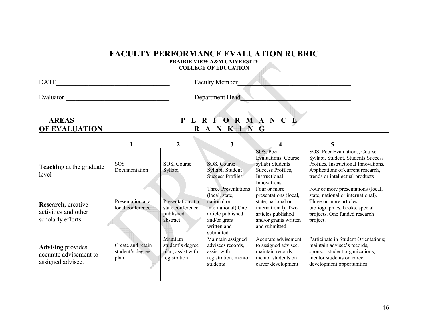## **FACULTY PERFORMANCE EVALUATION RUBRIC**

**PRAIRIE VIEW A&M UNIVERSITY COLLEGE OF EDUCATION** 

| DА | $\sim$<br>- iviember<br>часни м |  |
|----|---------------------------------|--|
|    |                                 |  |

Evaluator \_\_\_\_\_\_\_\_\_\_\_\_\_\_\_\_\_\_\_\_\_\_\_\_\_\_\_\_\_\_\_\_ Department Head\_\_\_\_\_\_\_\_\_\_\_\_\_\_\_\_\_\_\_\_\_\_\_\_\_\_\_\_\_\_\_\_\_\_

 $\mathcal{L}_{\text{max}}$ 

## **AREAS P E R F O R M A N C E OF EVALUATION** R A N K I N G

| <b>Teaching</b> at the graduate<br>level                                | <b>SOS</b><br>Documentation                   | SOS, Course<br>Syllabi                                            | SOS, Course<br>Syllabi, Student<br><b>Success Profiles</b>                                                                                          | SOS, Peer<br>Evaluations, Course<br>syllabi Students<br>Success Profiles,<br>Instructional<br>Innovations                                           | SOS, Peer Evaluations, Course<br>Syllabi, Student, Students Success<br>Profiles, Instructional Innovations,<br>Applications of current research,<br>trends or intellectual products |
|-------------------------------------------------------------------------|-----------------------------------------------|-------------------------------------------------------------------|-----------------------------------------------------------------------------------------------------------------------------------------------------|-----------------------------------------------------------------------------------------------------------------------------------------------------|-------------------------------------------------------------------------------------------------------------------------------------------------------------------------------------|
| Research, creative<br>activities and other<br>scholarly efforts         | Presentation at a<br>local conference         | Presentation at a<br>state conference.<br>published<br>abstract   | <b>Three Presentations</b><br>(local, state,<br>national or<br>international) One<br>article published<br>and/or grant<br>written and<br>submitted. | Four or more<br>presentations (local,<br>state, national or<br>international). Two<br>articles published<br>and/or grants written<br>and submitted. | Four or more presentations (local,<br>state, national or international).<br>Three or more articles,<br>bibliographies, books, special<br>projects. One funded research<br>project.  |
| <b>Advising</b> provides<br>accurate advisement to<br>assigned advisee. | Create and retain<br>student's degree<br>plan | Maintain<br>student's degree<br>plan, assist with<br>registration | Maintain assigned<br>advisees records.<br>assist with<br>registration, mentor<br>students                                                           | Accurate advisement<br>to assigned advisee,<br>maintain records,<br>mentor students on<br>career development                                        | Participate in Student Orientations;<br>maintain advisee's records,<br>sponsor student organizations,<br>mentor students on career<br>development opportunities.                    |
|                                                                         |                                               |                                                                   |                                                                                                                                                     |                                                                                                                                                     |                                                                                                                                                                                     |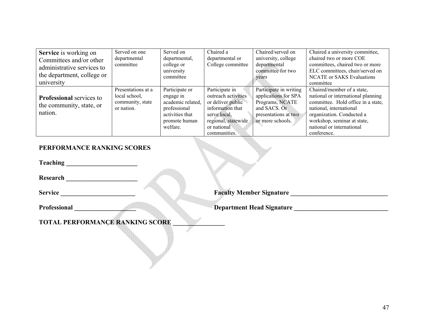| <b>Service</b> is working on<br>Committees and/or other<br>administrative services to<br>the department, college or<br>university | Served on one<br>departmental<br>committee                            | Served on<br>departmental,<br>college or<br>university<br>committee                                              | Chaired a<br>departmental or<br>College committee                                                                                                    | Chaired/served on<br>university, college<br>departmental<br>committee for two<br>years                                        | Chaired a university committee,<br>chaired two or more COE<br>committees, chaired two or more<br>ELC committees, chair/served on<br><b>NCATE</b> or SAKS Evaluations<br>committee                                                         |
|-----------------------------------------------------------------------------------------------------------------------------------|-----------------------------------------------------------------------|------------------------------------------------------------------------------------------------------------------|------------------------------------------------------------------------------------------------------------------------------------------------------|-------------------------------------------------------------------------------------------------------------------------------|-------------------------------------------------------------------------------------------------------------------------------------------------------------------------------------------------------------------------------------------|
| <b>Professional</b> services to<br>the community, state, or<br>nation.                                                            | Presentations at a<br>local school,<br>community, state<br>or nation. | Participate or<br>engage in<br>academic related,<br>professional<br>activities that<br>promote human<br>welfare. | Participate in<br>outreach activities<br>or deliver public<br>information that<br>serve local.<br>regional, statewide<br>or national<br>communities. | Participate in writing<br>applications for SPA<br>Programs, NCATE<br>and SACS. Or<br>presentations at two<br>or more schools. | Chaired/member of a state,<br>national or international planning<br>committee. Hold office in a state,<br>national, international<br>organization. Conducted a<br>workshop, seminar at state,<br>national or international<br>conference. |

## **PERFORMANCE RANKING SCORES**

**Teaching \_\_\_\_\_\_\_\_\_\_\_\_\_\_\_\_\_\_\_\_\_\_** 

**Research \_\_\_\_\_\_\_\_\_\_\_\_\_\_\_\_\_\_\_\_\_\_** 

**Service \_\_\_\_\_\_\_\_\_\_\_\_\_\_\_\_\_\_\_\_\_\_\_ Faculty Member Signature \_\_\_\_\_\_\_\_\_\_\_\_\_\_\_\_\_\_\_\_\_\_\_\_\_\_\_\_\_\_** 

Professional **Department Head Signature** *Department Head Signature* 

TOTAL PERFORMANCE RANKING SCORE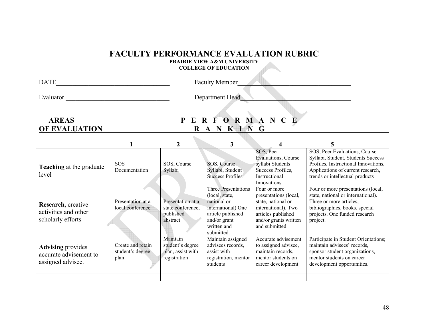## **FACULTY PERFORMANCE EVALUATION RUBRIC**

**PRAIRIE VIEW A&M UNIVERSITY COLLEGE OF EDUCATION** 

| <b>TIT</b><br>IΔ | acı<br>Membe <sup>,</sup> |  |
|------------------|---------------------------|--|
|                  |                           |  |

Evaluator \_\_\_\_\_\_\_\_\_\_\_\_\_\_\_\_\_\_\_\_\_\_\_\_\_\_\_\_\_\_\_\_ Department Head\_\_\_\_\_\_\_\_\_\_\_\_\_\_\_\_\_\_\_\_\_\_\_\_\_\_\_\_\_\_\_\_\_\_

 $\mathcal{L}_{\text{max}}$ 

## **AREAS P E R F O R M A N C E OF EVALUATION R A N K I N G**

| <b>Teaching</b> at the graduate<br>level                                | <b>SOS</b><br>Documentation                   | SOS, Course<br>Syllabi                                            | SOS, Course<br>Syllabi, Student<br><b>Success Profiles</b>                                                                                          | SOS, Peer<br>Evaluations, Course<br>syllabi Students<br>Success Profiles,<br>Instructional<br>Innovations                                           | SOS, Peer Evaluations, Course<br>Syllabi, Student, Students Success<br>Profiles, Instructional Innovations,<br>Applications of current research,<br>trends or intellectual products |
|-------------------------------------------------------------------------|-----------------------------------------------|-------------------------------------------------------------------|-----------------------------------------------------------------------------------------------------------------------------------------------------|-----------------------------------------------------------------------------------------------------------------------------------------------------|-------------------------------------------------------------------------------------------------------------------------------------------------------------------------------------|
| Research, creative<br>activities and other<br>scholarly efforts         | Presentation at a<br>local conference         | Presentation at a<br>state conference.<br>published<br>abstract   | <b>Three Presentations</b><br>(local, state,<br>national or<br>international) One<br>article published<br>and/or grant<br>written and<br>submitted. | Four or more<br>presentations (local,<br>state, national or<br>international). Two<br>articles published<br>and/or grants written<br>and submitted. | Four or more presentations (local,<br>state, national or international).<br>Three or more articles,<br>bibliographies, books, special<br>projects. One funded research<br>project.  |
| <b>Advising</b> provides<br>accurate advisement to<br>assigned advisee. | Create and retain<br>student's degree<br>plan | Maintain<br>student's degree<br>plan, assist with<br>registration | Maintain assigned<br>advisees records.<br>assist with<br>registration, mentor<br>students                                                           | Accurate advisement<br>to assigned advisee,<br>maintain records,<br>mentor students on<br>career development                                        | Participate in Student Orientations;<br>maintain advisees' records,<br>sponsor student organizations,<br>mentor students on career<br>development opportunities.                    |
|                                                                         |                                               |                                                                   |                                                                                                                                                     |                                                                                                                                                     |                                                                                                                                                                                     |